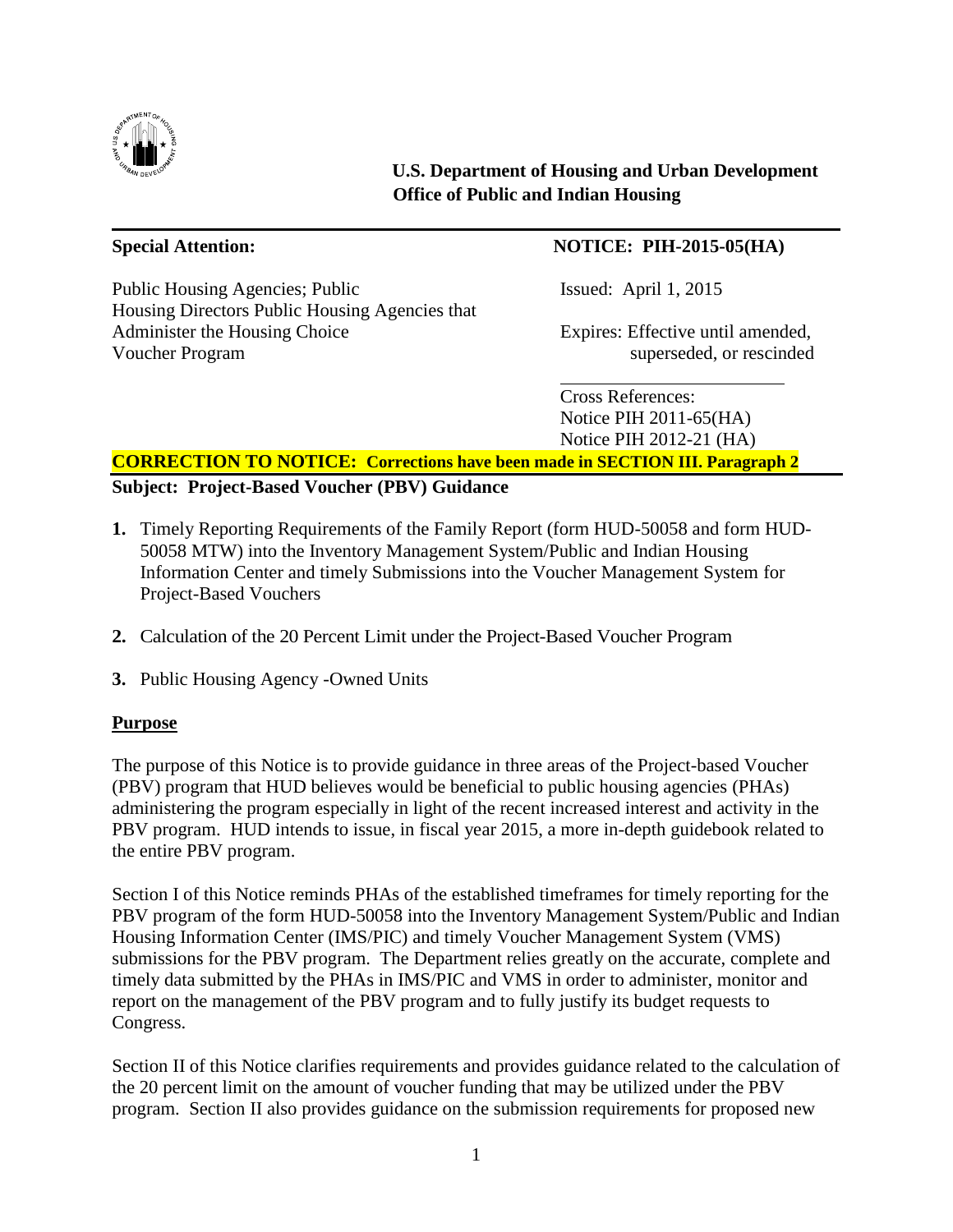

**U.S. Department of Housing and Urban Development Office of Public and Indian Housing**

Public Housing Agencies; Public Issued: April 1, 2015 Housing Directors Public Housing Agencies that Administer the Housing Choice Expires: Effective until amended,<br>Voucher Program superseded, or rescinded

# **Special Attention: NOTICE: PIH-2015-05(HA)**

superseded, or rescinded

l,

Cross References: Notice PIH 2011-65(HA) Notice PIH 2012-21 (HA)

## **CORRECTION TO NOTICE: Corrections have been made in SECTION III. Paragraph 2**

**Subject: Project-Based Voucher (PBV) Guidance**

- **1.** Timely Reporting Requirements of the Family Report (form HUD-50058 and form HUD-50058 MTW) into the Inventory Management System/Public and Indian Housing Information Center and timely Submissions into the Voucher Management System for Project-Based Vouchers
- **2.** Calculation of the 20 Percent Limit under the Project-Based Voucher Program
- **3.** Public Housing Agency -Owned Units

## **Purpose**

The purpose of this Notice is to provide guidance in three areas of the Project-based Voucher (PBV) program that HUD believes would be beneficial to public housing agencies (PHAs) administering the program especially in light of the recent increased interest and activity in the PBV program. HUD intends to issue, in fiscal year 2015, a more in-depth guidebook related to the entire PBV program.

Section I of this Notice reminds PHAs of the established timeframes for timely reporting for the PBV program of the form HUD-50058 into the Inventory Management System/Public and Indian Housing Information Center (IMS/PIC) and timely Voucher Management System (VMS) submissions for the PBV program. The Department relies greatly on the accurate, complete and timely data submitted by the PHAs in IMS/PIC and VMS in order to administer, monitor and report on the management of the PBV program and to fully justify its budget requests to Congress.

Section II of this Notice clarifies requirements and provides guidance related to the calculation of the 20 percent limit on the amount of voucher funding that may be utilized under the PBV program. Section II also provides guidance on the submission requirements for proposed new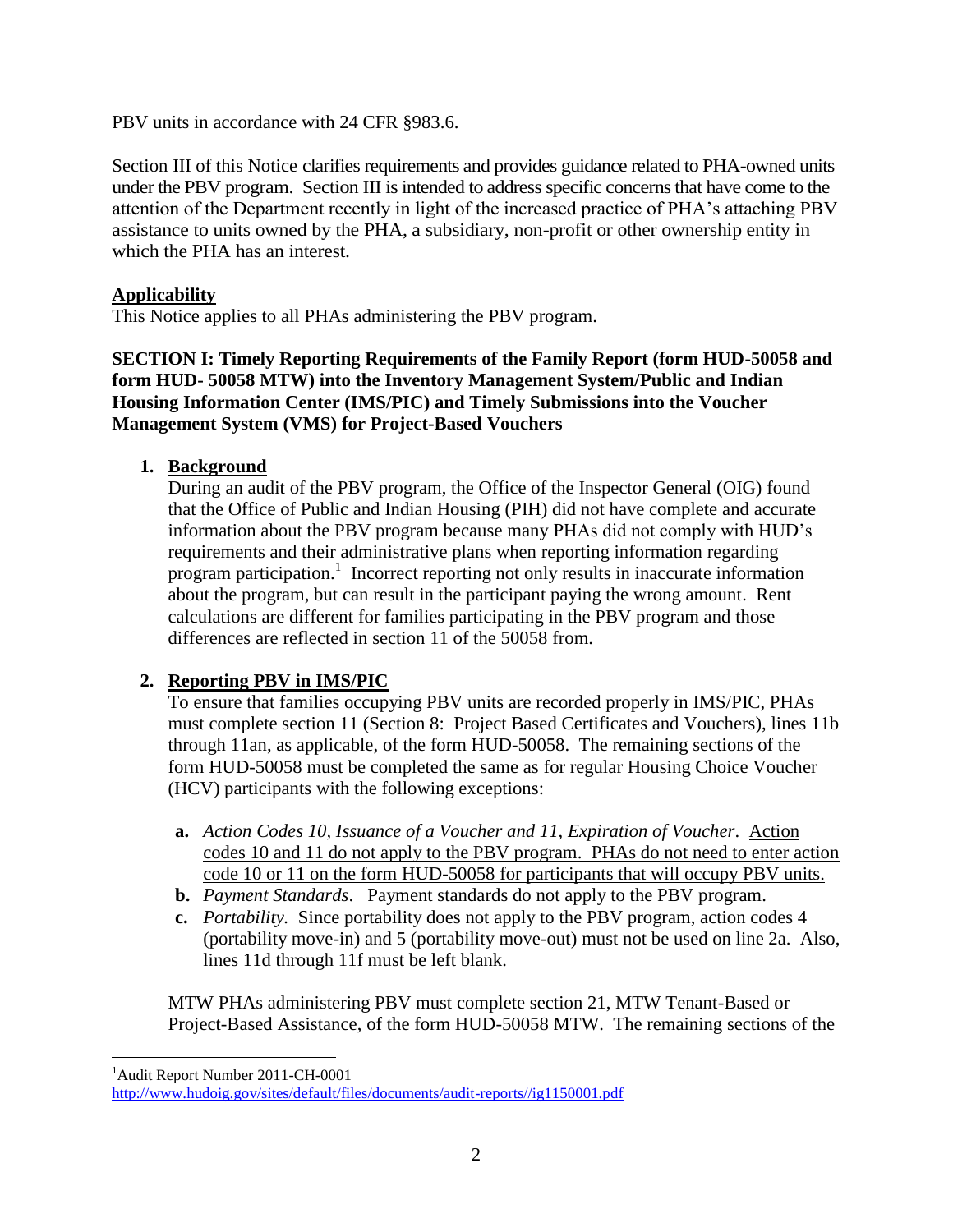PBV units in accordance with 24 CFR §983.6.

Section III of this Notice clarifies requirements and provides guidance related to PHA-owned units under the PBV program. Section III is intended to address specific concerns that have come to the attention of the Department recently in light of the increased practice of PHA's attaching PBV assistance to units owned by the PHA, a subsidiary, non-profit or other ownership entity in which the PHA has an interest.

## **Applicability**

This Notice applies to all PHAs administering the PBV program.

**SECTION I: Timely Reporting Requirements of the Family Report (form HUD-50058 and form HUD- 50058 MTW) into the Inventory Management System/Public and Indian Housing Information Center (IMS/PIC) and Timely Submissions into the Voucher Management System (VMS) for Project-Based Vouchers**

## **1. Background**

During an audit of the PBV program, the Office of the Inspector General (OIG) found that the Office of Public and Indian Housing (PIH) did not have complete and accurate information about the PBV program because many PHAs did not comply with HUD's requirements and their administrative plans when reporting information regarding program participation. 1 Incorrect reporting not only results in inaccurate information about the program, but can result in the participant paying the wrong amount. Rent calculations are different for families participating in the PBV program and those differences are reflected in section 11 of the 50058 from.

# **2. Reporting PBV in IMS/PIC**

To ensure that families occupying PBV units are recorded properly in IMS/PIC, PHAs must complete section 11 (Section 8: Project Based Certificates and Vouchers), lines 11b through 11an, as applicable, of the form HUD-50058. The remaining sections of the form HUD-50058 must be completed the same as for regular Housing Choice Voucher (HCV) participants with the following exceptions:

- **a.** *Action Codes 10, Issuance of a Voucher and 11, Expiration of Voucher*. Action codes 10 and 11 do not apply to the PBV program. PHAs do not need to enter action code 10 or 11 on the form HUD-50058 for participants that will occupy PBV units.
- **b.** *Payment Standards*. Payment standards do not apply to the PBV program.
- **c.** *Portability.* Since portability does not apply to the PBV program, action codes 4 (portability move-in) and 5 (portability move-out) must not be used on line 2a. Also, lines 11d through 11f must be left blank.

MTW PHAs administering PBV must complete section 21, MTW Tenant-Based or Project-Based Assistance, of the form HUD-50058 MTW. The remaining sections of the

 $\overline{a}$ <sup>1</sup>Audit Report Number 2011-CH-0001

[http://www.hudoig.gov/sites/default/files/documents/audit-reports//ig1150001.pdf](http://www.hudoig.gov/sites/default/files/documents/audit-reports/ig1150001.pdf)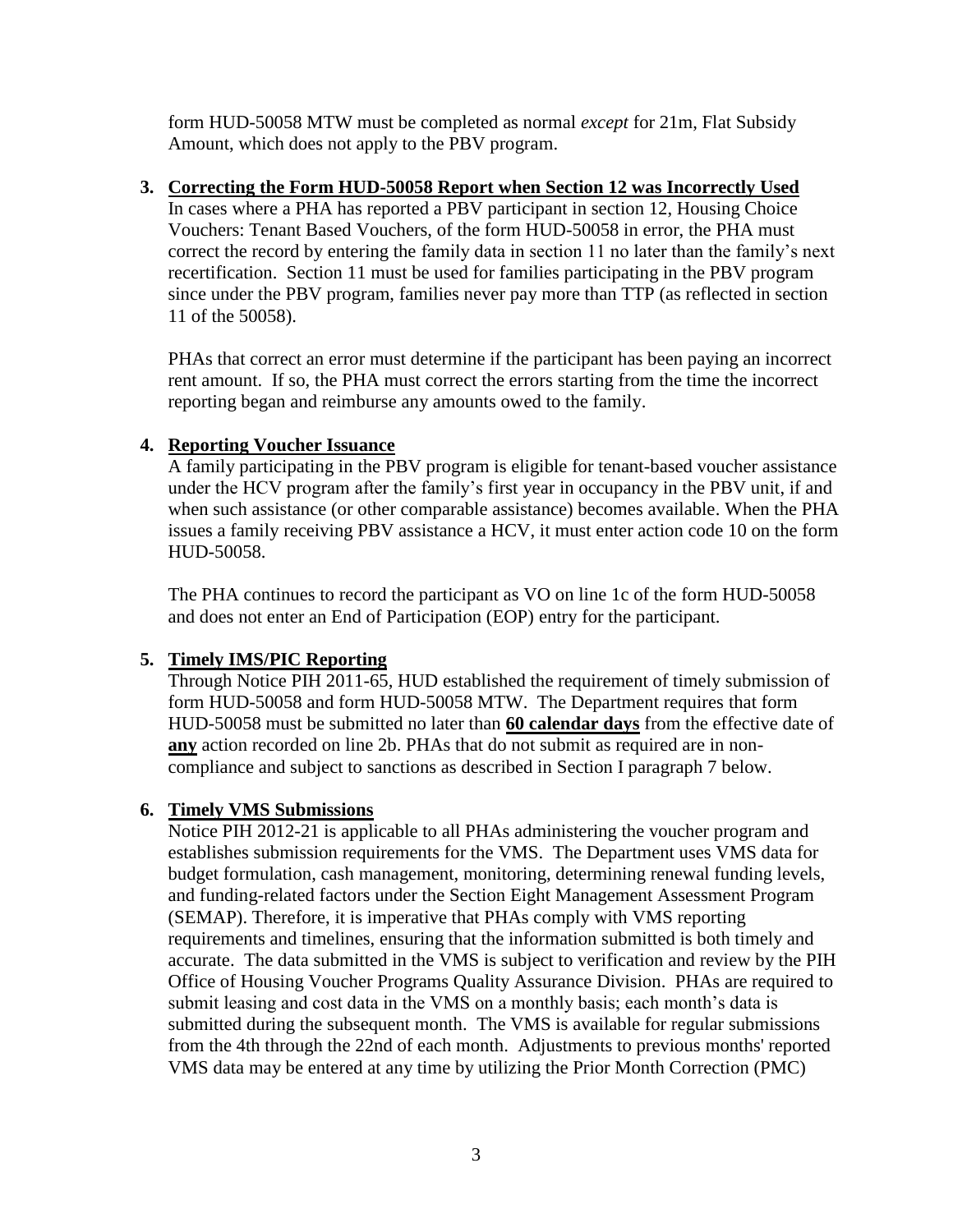form HUD-50058 MTW must be completed as normal *except* for 21m, Flat Subsidy Amount, which does not apply to the PBV program.

## **3. Correcting the Form HUD-50058 Report when Section 12 was Incorrectly Used**

In cases where a PHA has reported a PBV participant in section 12, Housing Choice Vouchers: Tenant Based Vouchers, of the form HUD-50058 in error, the PHA must correct the record by entering the family data in section 11 no later than the family's next recertification. Section 11 must be used for families participating in the PBV program since under the PBV program, families never pay more than TTP (as reflected in section 11 of the 50058).

PHAs that correct an error must determine if the participant has been paying an incorrect rent amount. If so, the PHA must correct the errors starting from the time the incorrect reporting began and reimburse any amounts owed to the family.

#### **4. Reporting Voucher Issuance**

A family participating in the PBV program is eligible for tenant-based voucher assistance under the HCV program after the family's first year in occupancy in the PBV unit, if and when such assistance (or other comparable assistance) becomes available. When the PHA issues a family receiving PBV assistance a HCV, it must enter action code 10 on the form HUD-50058.

The PHA continues to record the participant as VO on line 1c of the form HUD-50058 and does not enter an End of Participation (EOP) entry for the participant.

## **5. Timely IMS/PIC Reporting**

Through Notice PIH 2011-65, HUD established the requirement of timely submission of form HUD-50058 and form HUD-50058 MTW. The Department requires that form HUD-50058 must be submitted no later than **60 calendar days** from the effective date of **any** action recorded on line 2b. PHAs that do not submit as required are in noncompliance and subject to sanctions as described in Section I paragraph 7 below.

## **6. Timely VMS Submissions**

Notice PIH 2012-21 is applicable to all PHAs administering the voucher program and establishes submission requirements for the VMS. The Department uses VMS data for budget formulation, cash management, monitoring, determining renewal funding levels, and funding-related factors under the Section Eight Management Assessment Program (SEMAP). Therefore, it is imperative that PHAs comply with VMS reporting requirements and timelines, ensuring that the information submitted is both timely and accurate. The data submitted in the VMS is subject to verification and review by the PIH Office of Housing Voucher Programs Quality Assurance Division. PHAs are required to submit leasing and cost data in the VMS on a monthly basis; each month's data is submitted during the subsequent month. The VMS is available for regular submissions from the 4th through the 22nd of each month. Adjustments to previous months' reported VMS data may be entered at any time by utilizing the Prior Month Correction (PMC)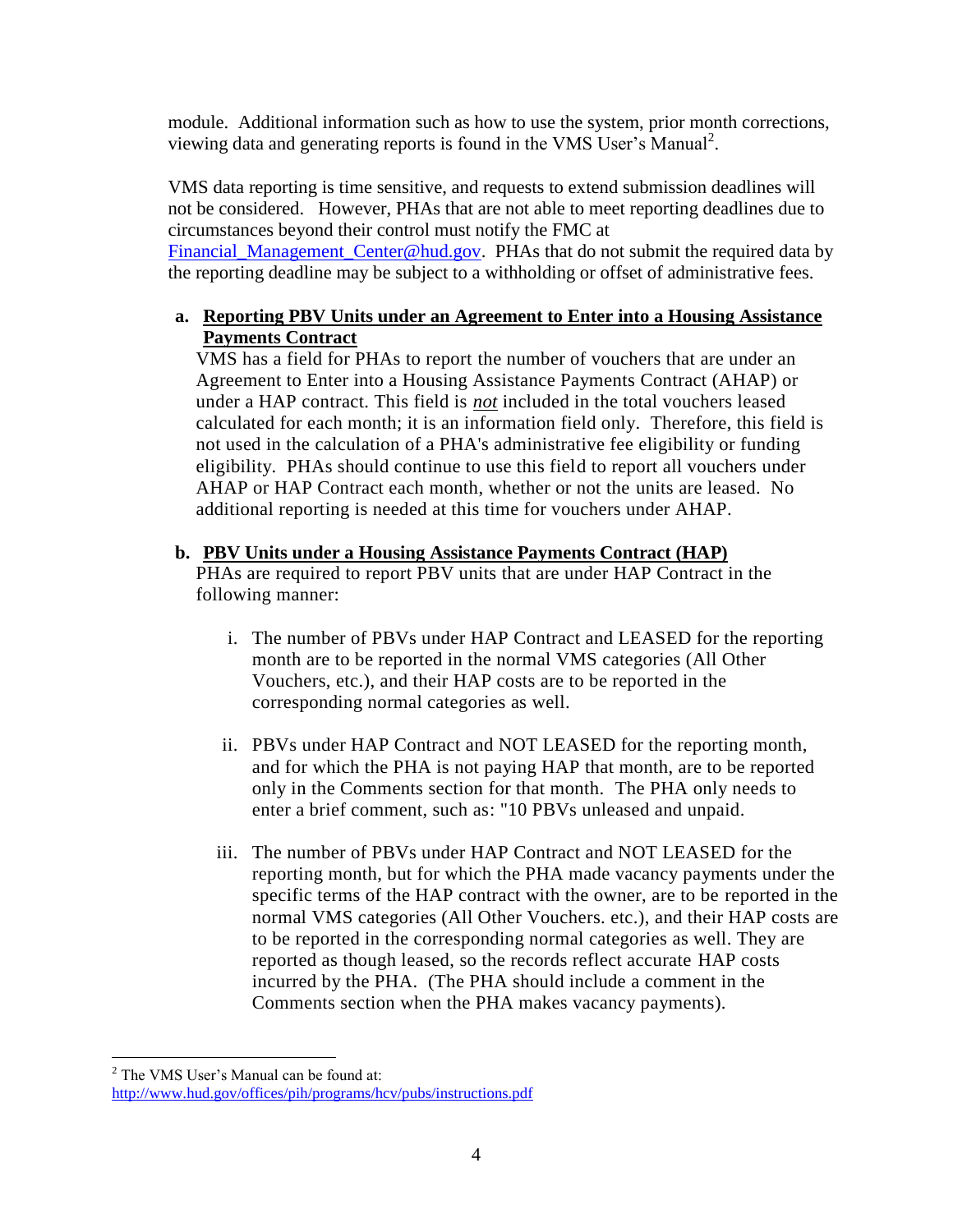module. Additional information such as how to use the system, prior month corrections, viewing data and generating reports is found in the VMS User's Manual<sup>2</sup>.

VMS data reporting is time sensitive, and requests to extend submission deadlines will not be considered. However, PHAs that are not able to meet reporting deadlines due to circumstances beyond their control must notify the FMC at Financial Management Center@hud.gov. PHAs that do not submit the required data by the reporting deadline may be subject to a withholding or offset of administrative fees.

## **a. Reporting PBV Units under an Agreement to Enter into a Housing Assistance Payments Contract**

VMS has a field for PHAs to report the number of vouchers that are under an Agreement to Enter into a Housing Assistance Payments Contract (AHAP) or under a HAP contract. This field is *not* included in the total vouchers leased calculated for each month; it is an information field only. Therefore, this field is not used in the calculation of a PHA's administrative fee eligibility or funding eligibility. PHAs should continue to use this field to report all vouchers under AHAP or HAP Contract each month, whether or not the units are leased. No additional reporting is needed at this time for vouchers under AHAP.

#### **b. PBV Units under a Housing Assistance Payments Contract (HAP)**

PHAs are required to report PBV units that are under HAP Contract in the following manner:

- i. The number of PBVs under HAP Contract and LEASED for the reporting month are to be reported in the normal VMS categories (All Other Vouchers, etc.), and their HAP costs are to be reported in the corresponding normal categories as well.
- ii. PBVs under HAP Contract and NOT LEASED for the reporting month, and for which the PHA is not paying HAP that month, are to be reported only in the Comments section for that month. The PHA only needs to enter a brief comment, such as: "10 PBVs unleased and unpaid.
- iii. The number of PBVs under HAP Contract and NOT LEASED for the reporting month, but for which the PHA made vacancy payments under the specific terms of the HAP contract with the owner, are to be reported in the normal VMS categories (All Other Vouchers. etc.), and their HAP costs are to be reported in the corresponding normal categories as well. They are reported as though leased, so the records reflect accurate HAP costs incurred by the PHA. (The PHA should include a comment in the Comments section when the PHA makes vacancy payments).

 $\overline{a}$ 

<sup>&</sup>lt;sup>2</sup> The VMS User's Manual can be found at: <http://www.hud.gov/offices/pih/programs/hcv/pubs/instructions.pdf>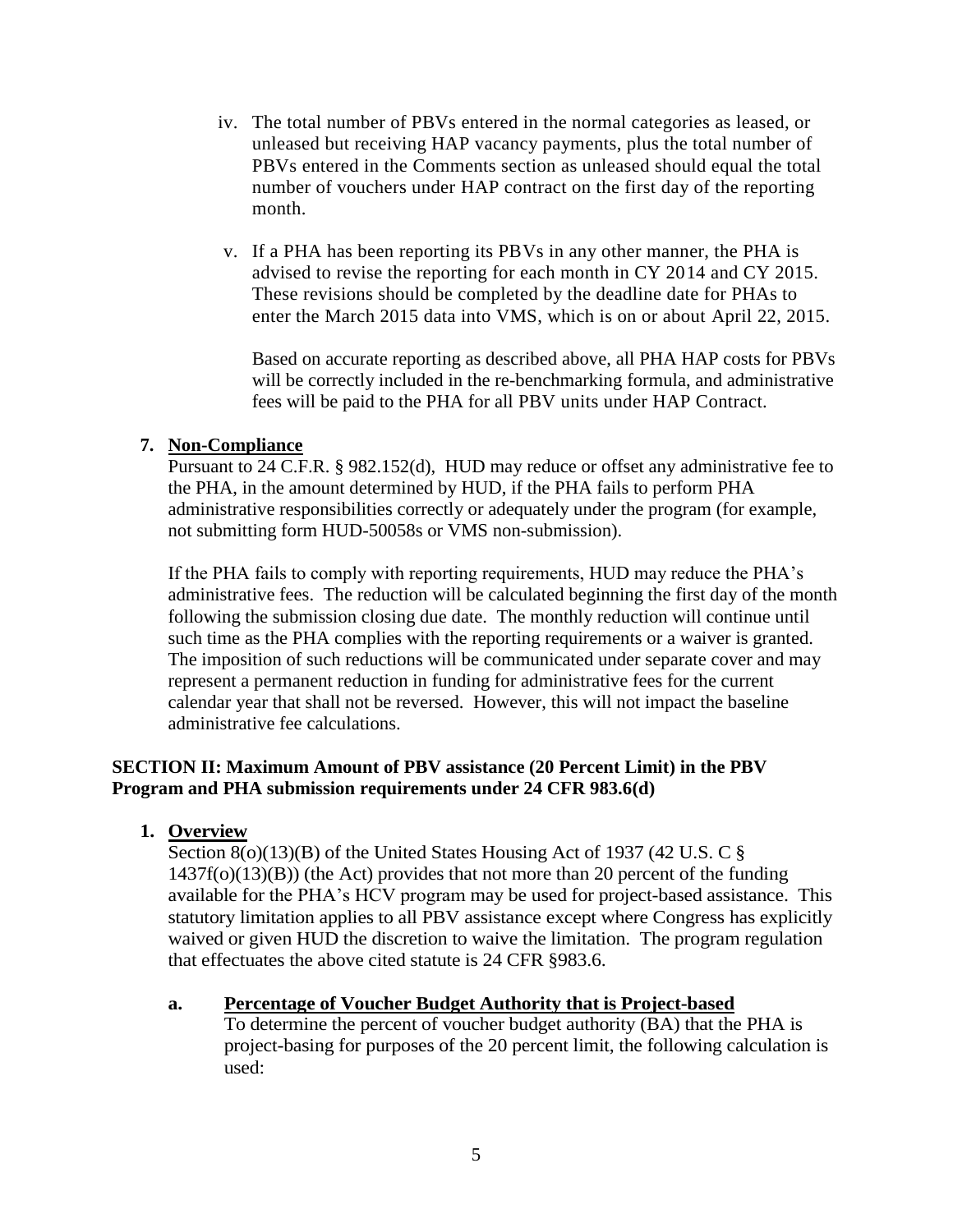- iv. The total number of PBVs entered in the normal categories as leased, or unleased but receiving HAP vacancy payments, plus the total number of PBVs entered in the Comments section as unleased should equal the total number of vouchers under HAP contract on the first day of the reporting month.
- v. If a PHA has been reporting its PBVs in any other manner, the PHA is advised to revise the reporting for each month in CY 2014 and CY 2015. These revisions should be completed by the deadline date for PHAs to enter the March 2015 data into VMS, which is on or about April 22, 2015.

Based on accurate reporting as described above, all PHA HAP costs for PBVs will be correctly included in the re-benchmarking formula, and administrative fees will be paid to the PHA for all PBV units under HAP Contract.

#### **7. Non-Compliance**

Pursuant to 24 C.F.R. § 982.152(d), HUD may reduce or offset any administrative fee to the PHA, in the amount determined by HUD, if the PHA fails to perform PHA administrative responsibilities correctly or adequately under the program (for example, not submitting form HUD-50058s or VMS non-submission).

If the PHA fails to comply with reporting requirements, HUD may reduce the PHA's administrative fees. The reduction will be calculated beginning the first day of the month following the submission closing due date. The monthly reduction will continue until such time as the PHA complies with the reporting requirements or a waiver is granted. The imposition of such reductions will be communicated under separate cover and may represent a permanent reduction in funding for administrative fees for the current calendar year that shall not be reversed. However, this will not impact the baseline administrative fee calculations.

## **SECTION II: Maximum Amount of PBV assistance (20 Percent Limit) in the PBV Program and PHA submission requirements under 24 CFR 983.6(d)**

## **1. Overview**

Section 8(o)(13)(B) of the United States Housing Act of 1937 (42 U.S. C §  $1437f(o)(13)(B)$ ) (the Act) provides that not more than 20 percent of the funding available for the PHA's HCV program may be used for project-based assistance. This statutory limitation applies to all PBV assistance except where Congress has explicitly waived or given HUD the discretion to waive the limitation. The program regulation that effectuates the above cited statute is 24 CFR §983.6.

#### **a. Percentage of Voucher Budget Authority that is Project-based**

To determine the percent of voucher budget authority (BA) that the PHA is project-basing for purposes of the 20 percent limit, the following calculation is used: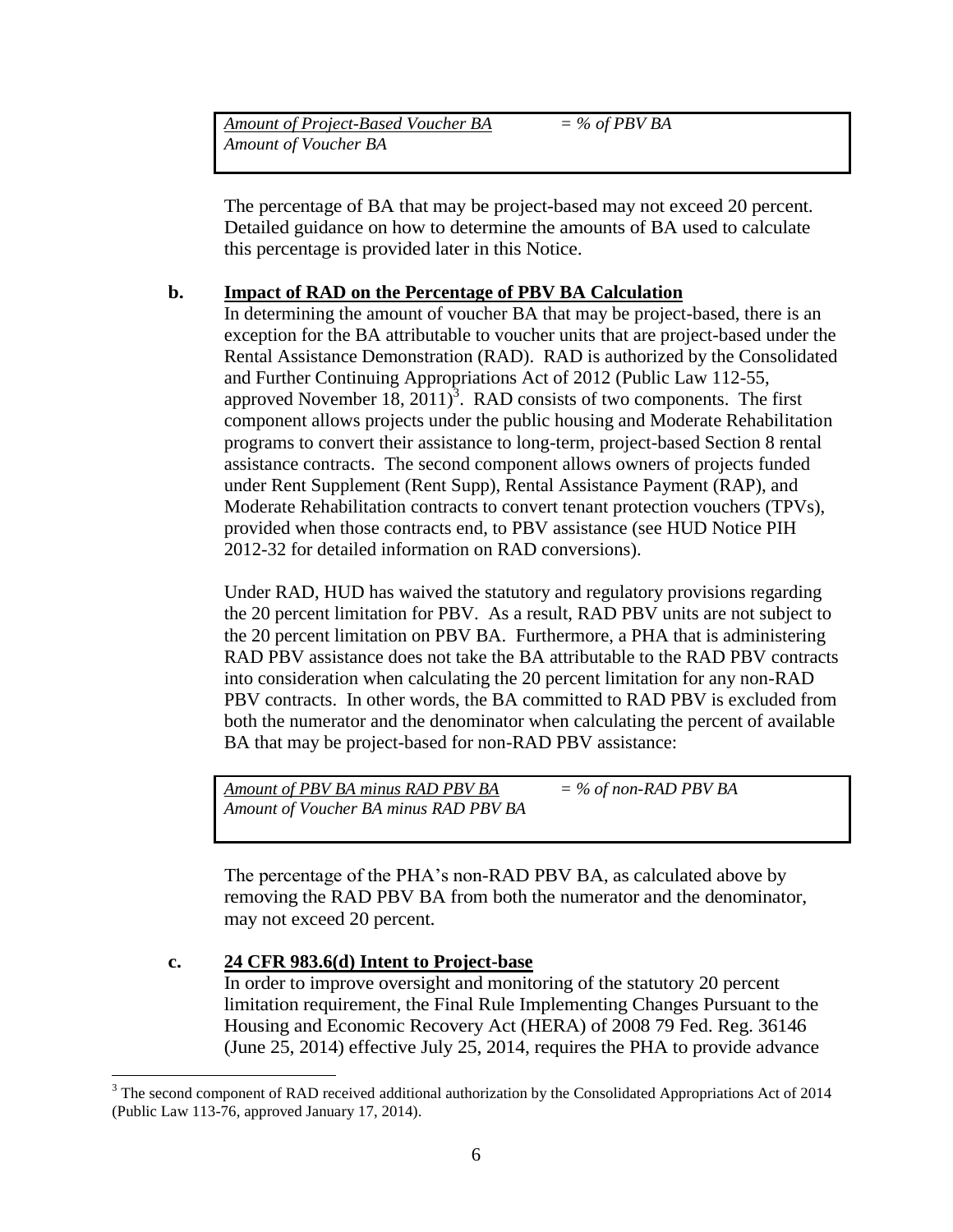| Amount of Project-Based Voucher BA | $=$ % of PBV BA |  |
|------------------------------------|-----------------|--|
| Amount of Voucher BA               |                 |  |
|                                    |                 |  |

The percentage of BA that may be project-based may not exceed 20 percent. Detailed guidance on how to determine the amounts of BA used to calculate this percentage is provided later in this Notice.

#### **b. Impact of RAD on the Percentage of PBV BA Calculation**

In determining the amount of voucher BA that may be project-based, there is an exception for the BA attributable to voucher units that are project-based under the Rental Assistance Demonstration (RAD). RAD is authorized by the Consolidated and Further Continuing Appropriations Act of 2012 (Public Law 112-55, approved November  $18$ ,  $2011$ <sup>3</sup>. RAD consists of two components. The first component allows projects under the public housing and Moderate Rehabilitation programs to convert their assistance to long-term, project-based Section 8 rental assistance contracts. The second component allows owners of projects funded under Rent Supplement (Rent Supp), Rental Assistance Payment (RAP), and Moderate Rehabilitation contracts to convert tenant protection vouchers (TPVs), provided when those contracts end, to PBV assistance (see HUD Notice PIH 2012-32 for detailed information on RAD conversions).

Under RAD, HUD has waived the statutory and regulatory provisions regarding the 20 percent limitation for PBV. As a result, RAD PBV units are not subject to the 20 percent limitation on PBV BA. Furthermore, a PHA that is administering RAD PBV assistance does not take the BA attributable to the RAD PBV contracts into consideration when calculating the 20 percent limitation for any non-RAD PBV contracts. In other words, the BA committed to RAD PBV is excluded from both the numerator and the denominator when calculating the percent of available BA that may be project-based for non-RAD PBV assistance:

*Amount of PBV BA minus RAD PBV BA = % of non-RAD PBV BA Amount of Voucher BA minus RAD PBV BA*

The percentage of the PHA's non-RAD PBV BA, as calculated above by removing the RAD PBV BA from both the numerator and the denominator, may not exceed 20 percent.

#### **c. 24 CFR 983.6(d) Intent to Project-base**

 $\overline{a}$ 

In order to improve oversight and monitoring of the statutory 20 percent limitation requirement, the Final Rule Implementing Changes Pursuant to the Housing and Economic Recovery Act (HERA) of 2008 79 Fed. Reg. 36146 (June 25, 2014) effective July 25, 2014, requires the PHA to provide advance

<sup>&</sup>lt;sup>3</sup> The second component of RAD received additional authorization by the Consolidated Appropriations Act of 2014 (Public Law 113-76, approved January 17, 2014).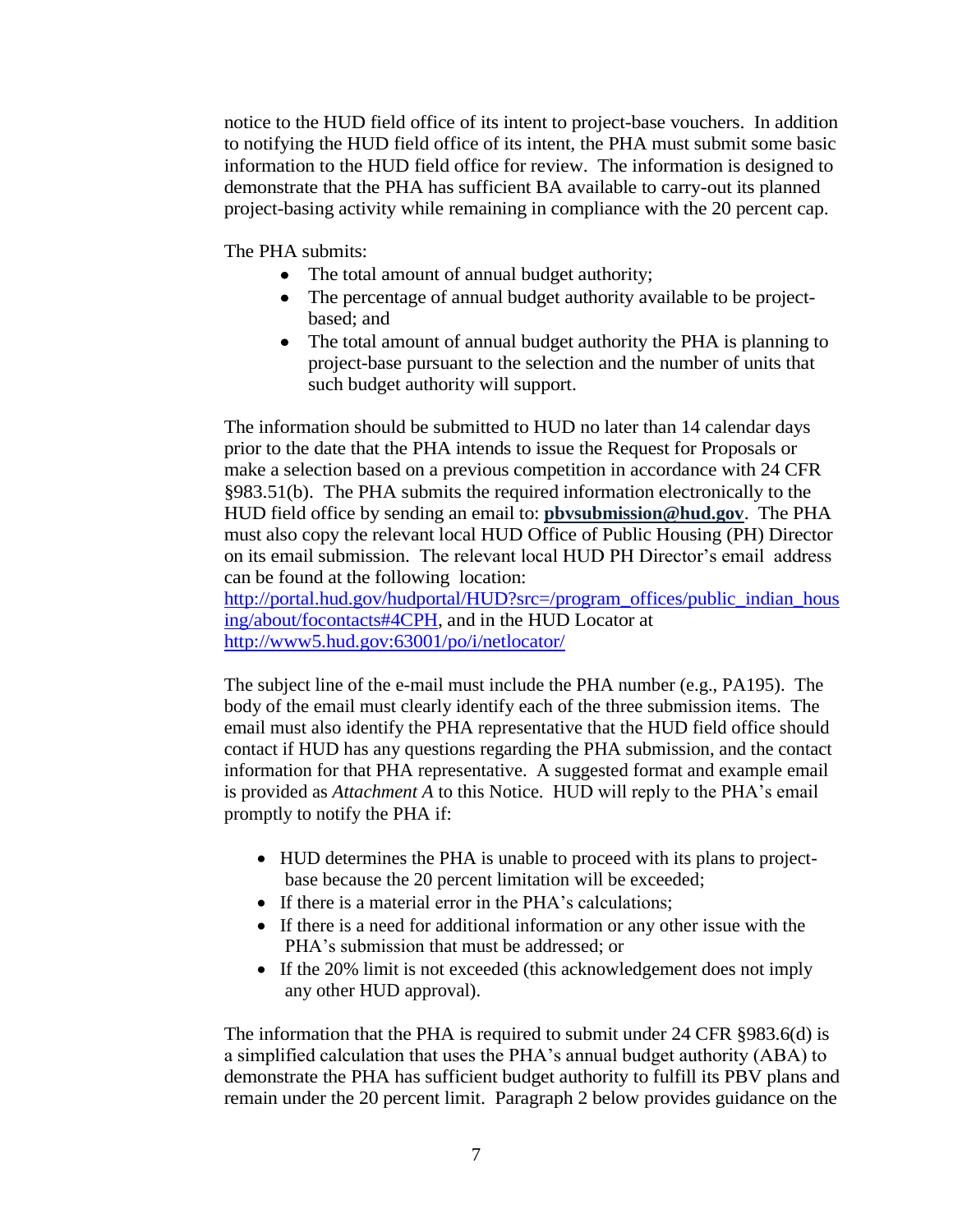notice to the HUD field office of its intent to project-base vouchers. In addition to notifying the HUD field office of its intent, the PHA must submit some basic information to the HUD field office for review. The information is designed to demonstrate that the PHA has sufficient BA available to carry-out its planned project-basing activity while remaining in compliance with the 20 percent cap.

The PHA submits:

- The total amount of annual budget authority;
- The percentage of annual budget authority available to be projectbased; and
- The total amount of annual budget authority the PHA is planning to project-base pursuant to the selection and the number of units that such budget authority will support.

The information should be submitted to HUD no later than 14 calendar days prior to the date that the PHA intends to issue the Request for Proposals or make a selection based on a previous competition in accordance with 24 CFR §983.51(b). The PHA submits the required information electronically to the HUD field office by sending an email to: **pbvsubmission@hud.gov**. The PHA must also copy the relevant local HUD Office of Public Housing (PH) Director on its email submission. The relevant local HUD PH Director's email address can be found at the following location:

[http://portal.hud.gov/hudportal/HUD?src=/program\\_offices/public\\_indian\\_hous](http://portal.hud.gov/hudportal/HUD?src=/program_offices/public_indian_housing/about/focontacts#4CPH) [ing/about/focontacts#4CPH,](http://portal.hud.gov/hudportal/HUD?src=/program_offices/public_indian_housing/about/focontacts#4CPH) and in the HUD Locator at <http://www5.hud.gov:63001/po/i/netlocator/>

The subject line of the e-mail must include the PHA number (e.g., PA195). The body of the email must clearly identify each of the three submission items. The email must also identify the PHA representative that the HUD field office should contact if HUD has any questions regarding the PHA submission, and the contact information for that PHA representative. A suggested format and example email is provided as *Attachment A* to this Notice. HUD will reply to the PHA's email promptly to notify the PHA if:

- HUD determines the PHA is unable to proceed with its plans to projectbase because the 20 percent limitation will be exceeded;
- If there is a material error in the PHA's calculations;
- If there is a need for additional information or any other issue with the PHA's submission that must be addressed; or
- If the 20% limit is not exceeded (this acknowledgement does not imply any other HUD approval).

The information that the PHA is required to submit under 24 CFR §983.6(d) is a simplified calculation that uses the PHA's annual budget authority (ABA) to demonstrate the PHA has sufficient budget authority to fulfill its PBV plans and remain under the 20 percent limit. Paragraph 2 below provides guidance on the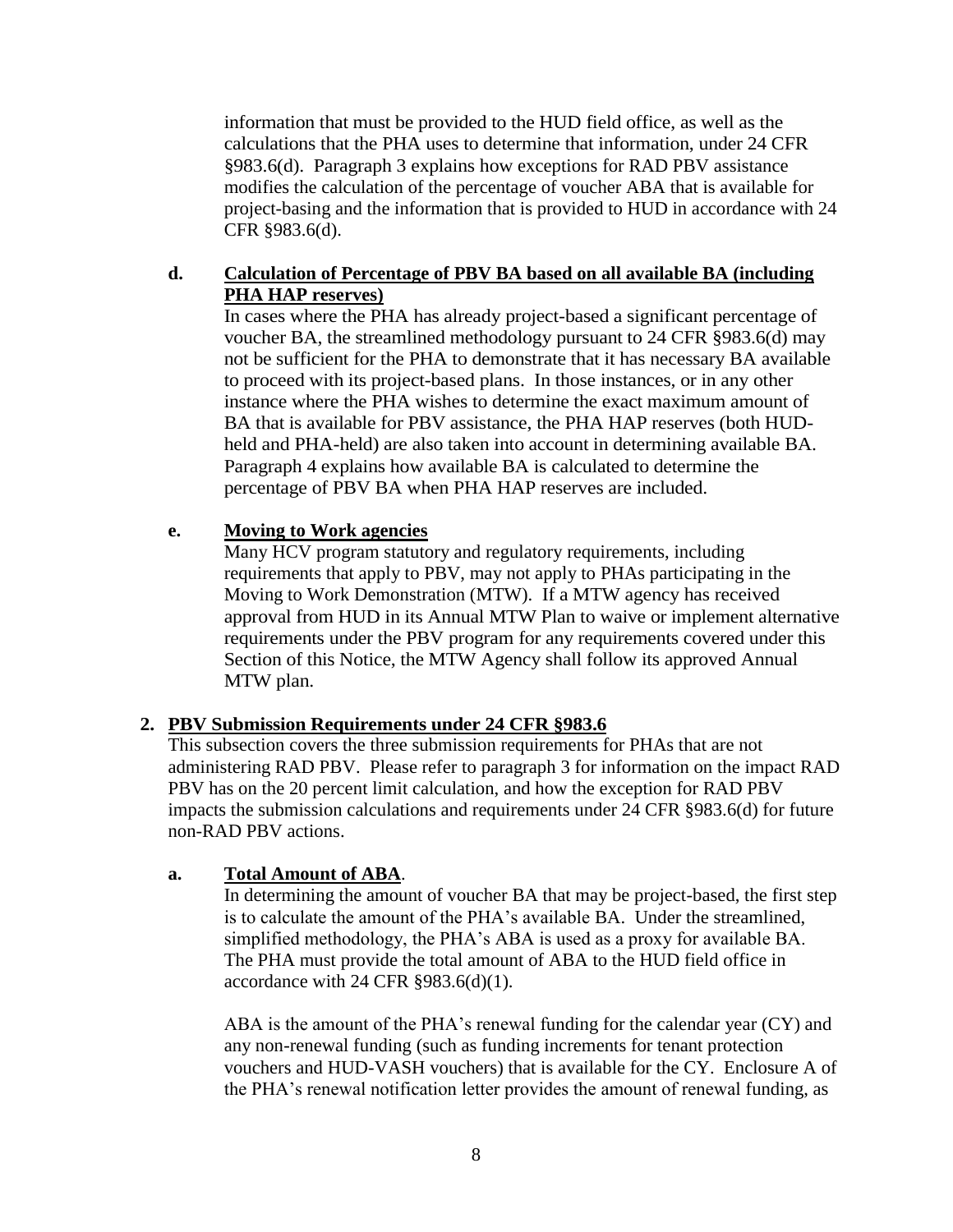information that must be provided to the HUD field office, as well as the calculations that the PHA uses to determine that information, under 24 CFR §983.6(d). Paragraph 3 explains how exceptions for RAD PBV assistance modifies the calculation of the percentage of voucher ABA that is available for project-basing and the information that is provided to HUD in accordance with 24 CFR §983.6(d).

## **d. Calculation of Percentage of PBV BA based on all available BA (including PHA HAP reserves)**

In cases where the PHA has already project-based a significant percentage of voucher BA, the streamlined methodology pursuant to 24 CFR §983.6(d) may not be sufficient for the PHA to demonstrate that it has necessary BA available to proceed with its project-based plans. In those instances, or in any other instance where the PHA wishes to determine the exact maximum amount of BA that is available for PBV assistance, the PHA HAP reserves (both HUDheld and PHA-held) are also taken into account in determining available BA. Paragraph 4 explains how available BA is calculated to determine the percentage of PBV BA when PHA HAP reserves are included.

## **e. Moving to Work agencies**

Many HCV program statutory and regulatory requirements, including requirements that apply to PBV, may not apply to PHAs participating in the Moving to Work Demonstration (MTW). If a MTW agency has received approval from HUD in its Annual MTW Plan to waive or implement alternative requirements under the PBV program for any requirements covered under this Section of this Notice, the MTW Agency shall follow its approved Annual MTW plan.

## **2. PBV Submission Requirements under 24 CFR §983.6**

This subsection covers the three submission requirements for PHAs that are not administering RAD PBV. Please refer to paragraph 3 for information on the impact RAD PBV has on the 20 percent limit calculation, and how the exception for RAD PBV impacts the submission calculations and requirements under 24 CFR §983.6(d) for future non-RAD PBV actions.

## **a. Total Amount of ABA**.

In determining the amount of voucher BA that may be project-based, the first step is to calculate the amount of the PHA's available BA. Under the streamlined, simplified methodology, the PHA's ABA is used as a proxy for available BA. The PHA must provide the total amount of ABA to the HUD field office in accordance with 24 CFR §983.6(d)(1).

ABA is the amount of the PHA's renewal funding for the calendar year (CY) and any non-renewal funding (such as funding increments for tenant protection vouchers and HUD-VASH vouchers) that is available for the CY. Enclosure A of the PHA's renewal notification letter provides the amount of renewal funding, as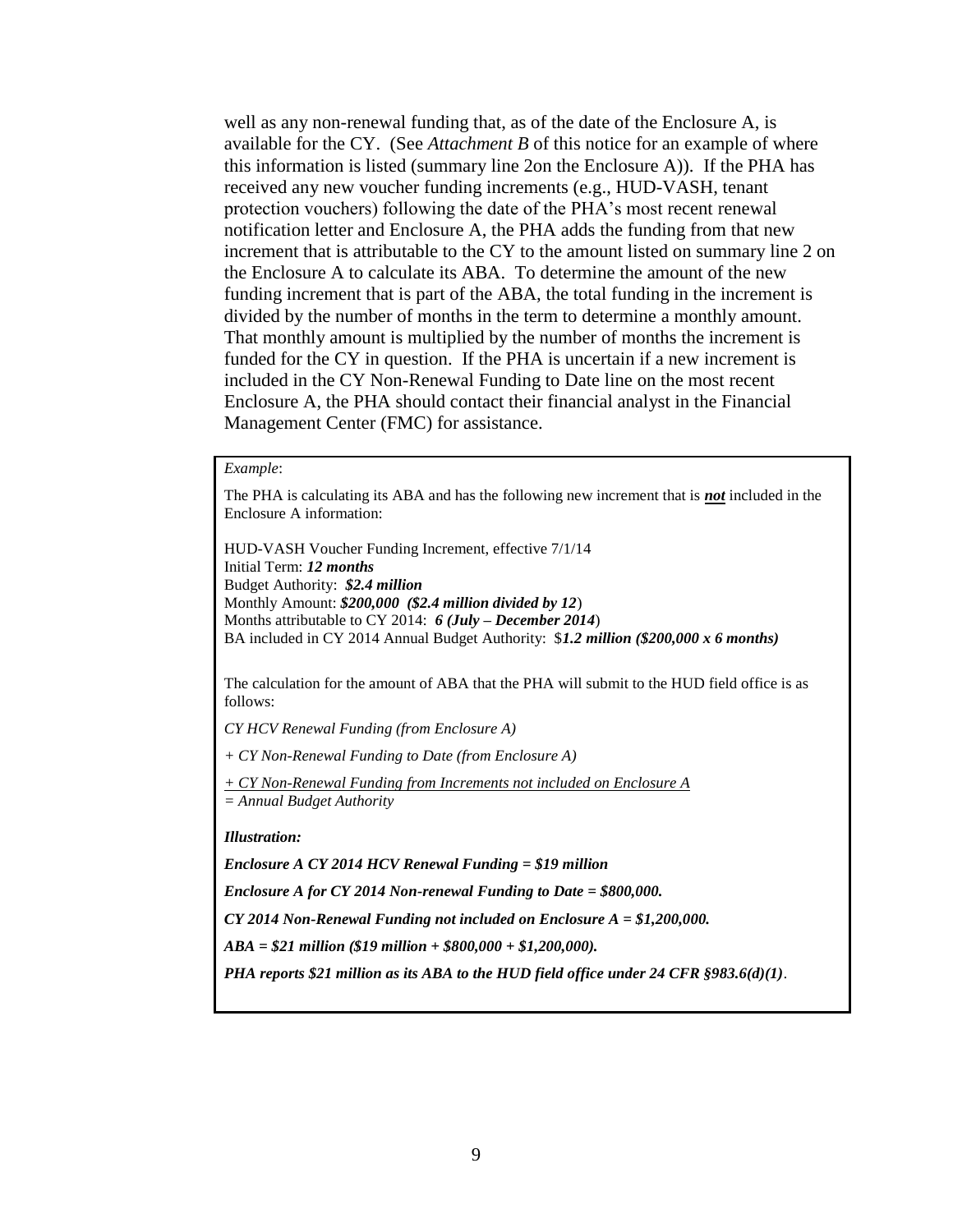well as any non-renewal funding that, as of the date of the Enclosure A, is available for the CY. (See *Attachment B* of this notice for an example of where this information is listed (summary line 2on the Enclosure A)). If the PHA has received any new voucher funding increments (e.g., HUD-VASH, tenant protection vouchers) following the date of the PHA's most recent renewal notification letter and Enclosure A, the PHA adds the funding from that new increment that is attributable to the CY to the amount listed on summary line 2 on the Enclosure A to calculate its ABA. To determine the amount of the new funding increment that is part of the ABA, the total funding in the increment is divided by the number of months in the term to determine a monthly amount. That monthly amount is multiplied by the number of months the increment is funded for the CY in question. If the PHA is uncertain if a new increment is included in the CY Non-Renewal Funding to Date line on the most recent Enclosure A, the PHA should contact their financial analyst in the Financial Management Center (FMC) for assistance.

#### *Example*:

The PHA is calculating its ABA and has the following new increment that is *not* included in the Enclosure A information:

HUD-VASH Voucher Funding Increment, effective 7/1/14 Initial Term: *12 months* Budget Authority: *\$2.4 million* Monthly Amount: *\$200,000 (\$2.4 million divided by 12*) Months attributable to CY 2014: *6 (July – December 2014*) BA included in CY 2014 Annual Budget Authority: \$*1.2 million (\$200,000 x 6 months)*

The calculation for the amount of ABA that the PHA will submit to the HUD field office is as follows:

*CY HCV Renewal Funding (from Enclosure A)*

*+ CY Non-Renewal Funding to Date (from Enclosure A)*

*+ CY Non-Renewal Funding from Increments not included on Enclosure A = Annual Budget Authority*

*Illustration:* 

*Enclosure A CY 2014 HCV Renewal Funding = \$19 million* 

*Enclosure A for CY 2014 Non-renewal Funding to Date = \$800,000.* 

*CY 2014 Non-Renewal Funding not included on Enclosure A = \$1,200,000.* 

*ABA = \$21 million (\$19 million + \$800,000 + \$1,200,000).*

*PHA reports \$21 million as its ABA to the HUD field office under 24 CFR §983.6(d)(1).*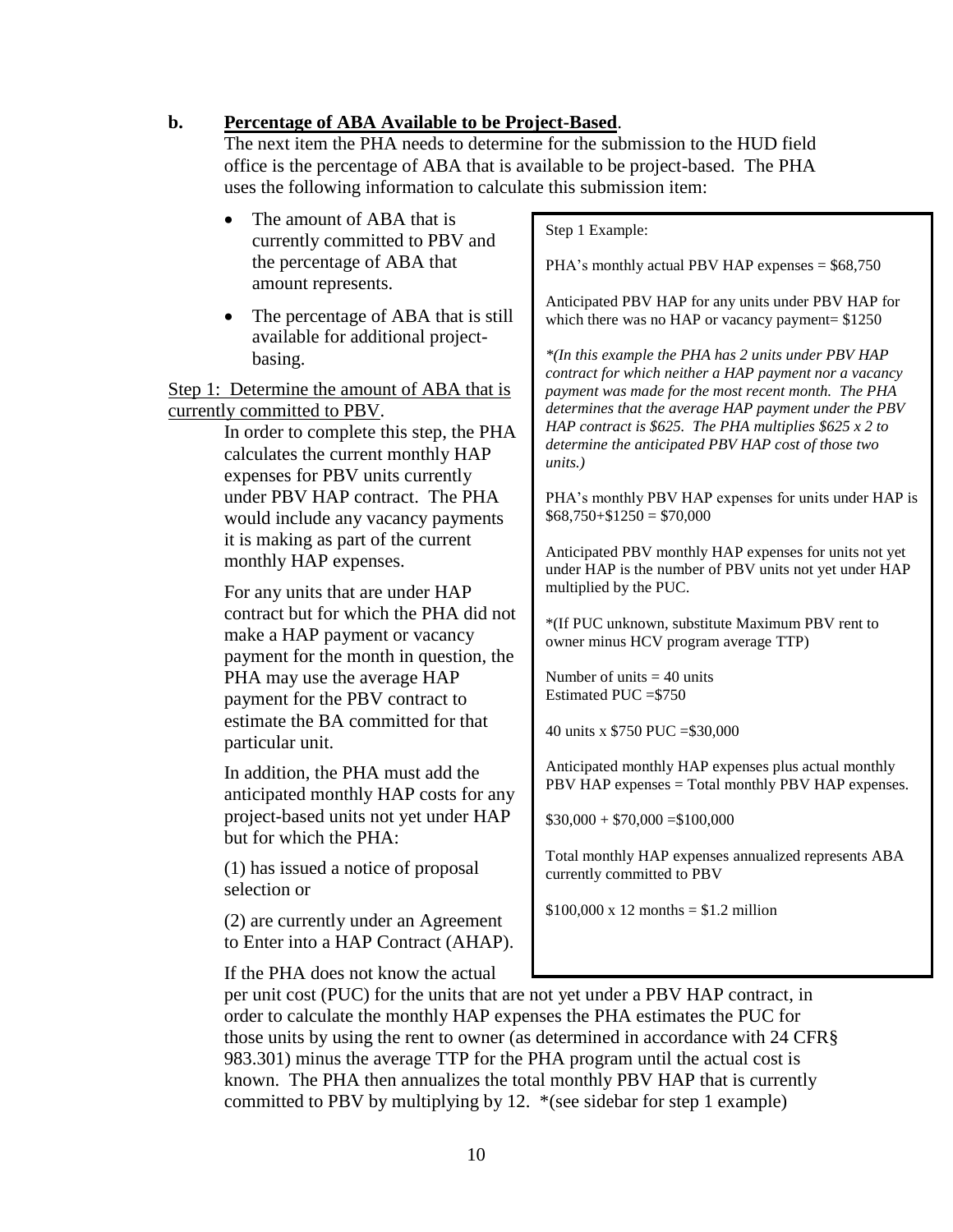## **b. Percentage of ABA Available to be Project-Based**.

The next item the PHA needs to determine for the submission to the HUD field office is the percentage of ABA that is available to be project-based. The PHA uses the following information to calculate this submission item:

- The amount of ABA that is currently committed to PBV and the percentage of ABA that amount represents.
- The percentage of ABA that is still available for additional projectbasing.

Step 1: Determine the amount of ABA that is currently committed to PBV.

> In order to complete this step, the PHA calculates the current monthly HAP expenses for PBV units currently under PBV HAP contract. The PHA would include any vacancy payments it is making as part of the current monthly HAP expenses.

For any units that are under HAP contract but for which the PHA did not make a HAP payment or vacancy payment for the month in question, the PHA may use the average HAP payment for the PBV contract to estimate the BA committed for that particular unit.

In addition, the PHA must add the anticipated monthly HAP costs for any project-based units not yet under HAP but for which the PHA:

(1) has issued a notice of proposal selection or

(2) are currently under an Agreement to Enter into a HAP Contract (AHAP).

If the PHA does not know the actual

#### Step 1 Example:

PHA's monthly actual PBV HAP expenses =  $$68,750$ 

Anticipated PBV HAP for any units under PBV HAP for which there was no HAP or vacancy payment=  $$1250$ 

*\*(In this example the PHA has 2 units under PBV HAP contract for which neither a HAP payment nor a vacancy payment was made for the most recent month. The PHA determines that the average HAP payment under the PBV HAP contract is \$625. The PHA multiplies \$625 x 2 to determine the anticipated PBV HAP cost of those two units.)*

PHA's monthly PBV HAP expenses for units under HAP is  $$68,750+$1250 = $70,000$ 

Anticipated PBV monthly HAP expenses for units not yet under HAP is the number of PBV units not yet under HAP multiplied by the PUC.

\*(If PUC unknown, substitute Maximum PBV rent to owner minus HCV program average TTP)

Number of units  $=$  40 units Estimated PUC =\$750

40 units x \$750 PUC =\$30,000

Anticipated monthly HAP expenses plus actual monthly PBV HAP expenses = Total monthly PBV HAP expenses.

 $$30,000 + $70,000 = $100,000$ 

Total monthly HAP expenses annualized represents ABA currently committed to PBV

 $$100,000 \times 12$  months = \$1.2 million

per unit cost (PUC) for the units that are not yet under a PBV HAP contract, in order to calculate the monthly HAP expenses the PHA estimates the PUC for those units by using the rent to owner (as determined in accordance with 24 CFR§ 983.301) minus the average TTP for the PHA program until the actual cost is known. The PHA then annualizes the total monthly PBV HAP that is currently committed to PBV by multiplying by 12. \*(see sidebar for step 1 example)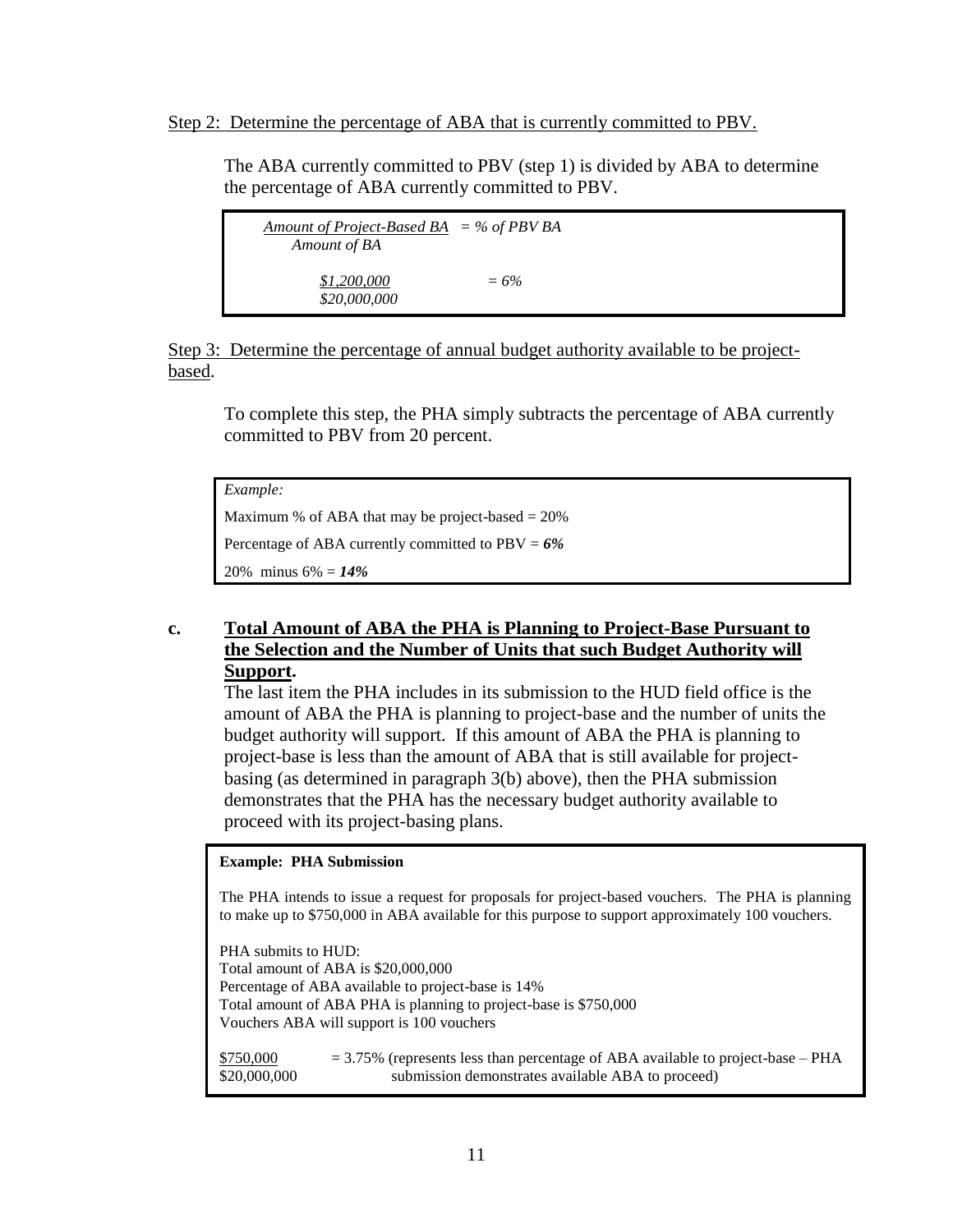#### Step 2: Determine the percentage of ABA that is currently committed to PBV.

The ABA currently committed to PBV (step 1) is divided by ABA to determine the percentage of ABA currently committed to PBV.

| <u>Amount of Project-Based BA</u> = % of PBV BA<br>Amount of BA |         |  |
|-----------------------------------------------------------------|---------|--|
| \$1,200,000<br>\$20,000,000                                     | $= 6\%$ |  |

Step 3: Determine the percentage of annual budget authority available to be projectbased.

To complete this step, the PHA simply subtracts the percentage of ABA currently committed to PBV from 20 percent.

*Example:* 

Maximum % of ABA that may be project-based  $= 20\%$ Percentage of ABA currently committed to PBV = *6%* 20% minus 6% = *14%*

## **c. Total Amount of ABA the PHA is Planning to Project-Base Pursuant to the Selection and the Number of Units that such Budget Authority will Support.**

The last item the PHA includes in its submission to the HUD field office is the amount of ABA the PHA is planning to project-base and the number of units the budget authority will support. If this amount of ABA the PHA is planning to project-base is less than the amount of ABA that is still available for projectbasing (as determined in paragraph 3(b) above), then the PHA submission demonstrates that the PHA has the necessary budget authority available to proceed with its project-basing plans.

#### **Example: PHA Submission**

The PHA intends to issue a request for proposals for project-based vouchers. The PHA is planning to make up to \$750,000 in ABA available for this purpose to support approximately 100 vouchers.

PHA submits to HUD: Total amount of ABA is \$20,000,000 Percentage of ABA available to project-base is 14% Total amount of ABA PHA is planning to project-base is \$750,000 Vouchers ABA will support is 100 vouchers

\$750,000 = 3.75% (represents less than percentage of ABA available to project-base – PHA \$20,000,000 submission demonstrates available ABA to proceed)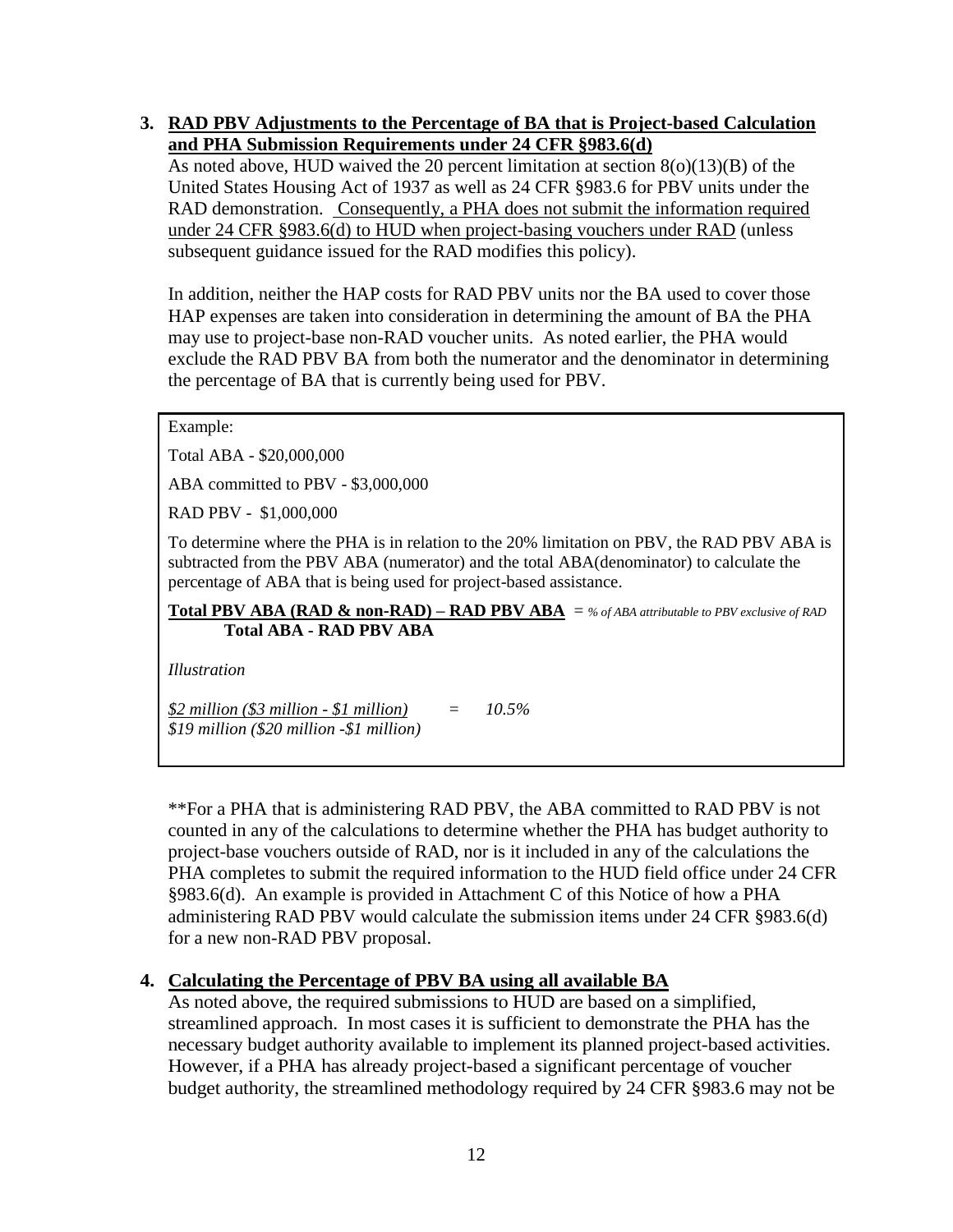#### **3. RAD PBV Adjustments to the Percentage of BA that is Project-based Calculation and PHA Submission Requirements under 24 CFR §983.6(d)**

As noted above, HUD waived the 20 percent limitation at section 8(o)(13)(B) of the United States Housing Act of 1937 as well as 24 CFR §983.6 for PBV units under the RAD demonstration. Consequently, a PHA does not submit the information required under 24 CFR §983.6(d) to HUD when project-basing vouchers under RAD (unless subsequent guidance issued for the RAD modifies this policy).

In addition, neither the HAP costs for RAD PBV units nor the BA used to cover those HAP expenses are taken into consideration in determining the amount of BA the PHA may use to project-base non-RAD voucher units. As noted earlier, the PHA would exclude the RAD PBV BA from both the numerator and the denominator in determining the percentage of BA that is currently being used for PBV.

Example:

Total ABA - \$20,000,000

ABA committed to PBV - \$3,000,000

RAD PBV - \$1,000,000

To determine where the PHA is in relation to the 20% limitation on PBV, the RAD PBV ABA is subtracted from the PBV ABA (numerator) and the total ABA(denominator) to calculate the percentage of ABA that is being used for project-based assistance.

**Total PBV ABA (RAD & non-RAD) – RAD PBV ABA** = *% of ABA attributable to PBV exclusive of RAD* **Total ABA - RAD PBV ABA**

*Illustration*

*\$2 million (\$3 million - \$1 million) = 10.5% \$19 million (\$20 million -\$1 million)* 

\*\*For a PHA that is administering RAD PBV, the ABA committed to RAD PBV is not counted in any of the calculations to determine whether the PHA has budget authority to project-base vouchers outside of RAD, nor is it included in any of the calculations the PHA completes to submit the required information to the HUD field office under 24 CFR §983.6(d). An example is provided in Attachment C of this Notice of how a PHA administering RAD PBV would calculate the submission items under 24 CFR §983.6(d) for a new non-RAD PBV proposal.

## **4. Calculating the Percentage of PBV BA using all available BA**

As noted above, the required submissions to HUD are based on a simplified, streamlined approach. In most cases it is sufficient to demonstrate the PHA has the necessary budget authority available to implement its planned project-based activities. However, if a PHA has already project-based a significant percentage of voucher budget authority, the streamlined methodology required by 24 CFR §983.6 may not be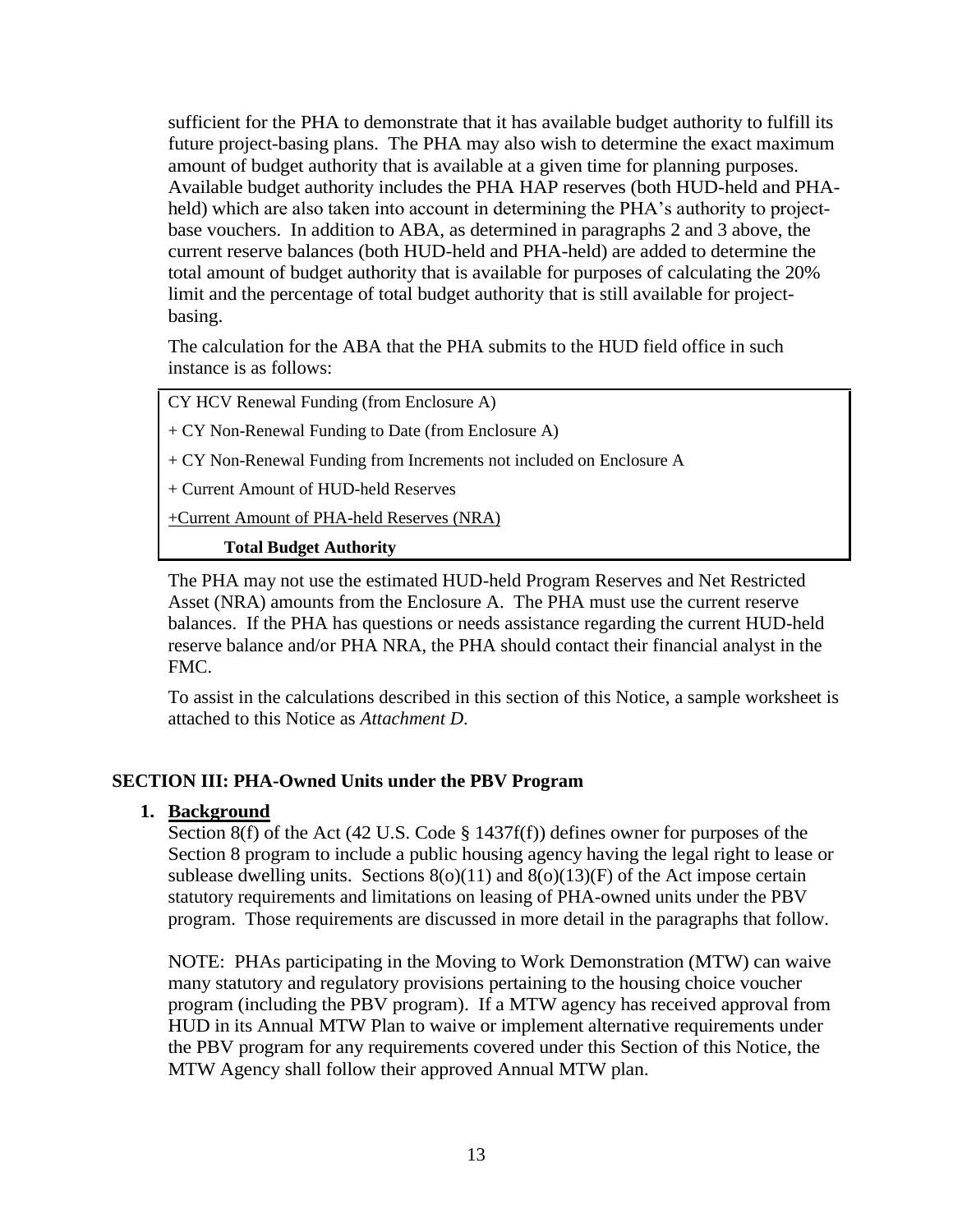sufficient for the PHA to demonstrate that it has available budget authority to fulfill its future project-basing plans. The PHA may also wish to determine the exact maximum amount of budget authority that is available at a given time for planning purposes. Available budget authority includes the PHA HAP reserves (both HUD-held and PHAheld) which are also taken into account in determining the PHA's authority to projectbase vouchers. In addition to ABA, as determined in paragraphs 2 and 3 above, the current reserve balances (both HUD-held and PHA-held) are added to determine the total amount of budget authority that is available for purposes of calculating the 20% limit and the percentage of total budget authority that is still available for projectbasing.

The calculation for the ABA that the PHA submits to the HUD field office in such instance is as follows:

| CY HCV Renewal Funding (from Enclosure A) |  |
|-------------------------------------------|--|
|                                           |  |

- + CY Non-Renewal Funding to Date (from Enclosure A)
- + CY Non-Renewal Funding from Increments not included on Enclosure A
- + Current Amount of HUD-held Reserves

+Current Amount of PHA-held Reserves (NRA)

#### **Total Budget Authority**

The PHA may not use the estimated HUD-held Program Reserves and Net Restricted Asset (NRA) amounts from the Enclosure A. The PHA must use the current reserve balances. If the PHA has questions or needs assistance regarding the current HUD-held reserve balance and/or PHA NRA, the PHA should contact their financial analyst in the FMC.

To assist in the calculations described in this section of this Notice, a sample worksheet is attached to this Notice as *Attachment D*.

## **SECTION III: PHA-Owned Units under the PBV Program**

#### **1. Background**

Section 8(f) of the Act (42 U.S. Code § 1437f(f)) defines owner for purposes of the Section 8 program to include a public housing agency having the legal right to lease or sublease dwelling units. Sections  $8(0)(11)$  and  $8(0)(13)(F)$  of the Act impose certain statutory requirements and limitations on leasing of PHA-owned units under the PBV program. Those requirements are discussed in more detail in the paragraphs that follow.

NOTE: PHAs participating in the Moving to Work Demonstration (MTW) can waive many statutory and regulatory provisions pertaining to the housing choice voucher program (including the PBV program). If a MTW agency has received approval from HUD in its Annual MTW Plan to waive or implement alternative requirements under the PBV program for any requirements covered under this Section of this Notice, the MTW Agency shall follow their approved Annual MTW plan.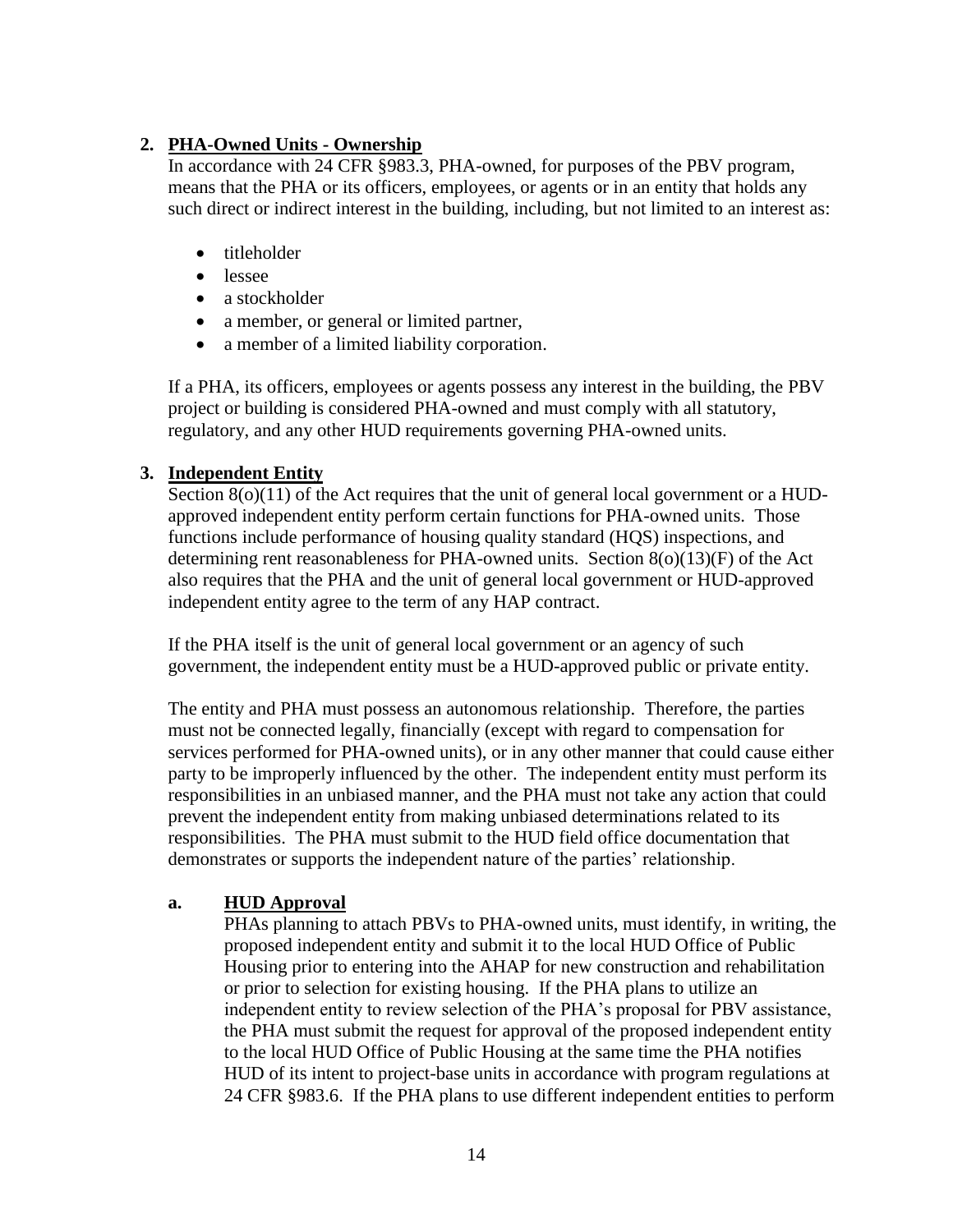# **2. PHA-Owned Units - Ownership**

In accordance with 24 CFR §983.3, PHA-owned, for purposes of the PBV program, means that the PHA or its officers, employees, or agents or in an entity that holds any such direct or indirect interest in the building, including, but not limited to an interest as:

- titleholder
- lessee
- a stockholder
- a member, or general or limited partner,
- a member of a limited liability corporation.

If a PHA, its officers, employees or agents possess any interest in the building, the PBV project or building is considered PHA-owned and must comply with all statutory, regulatory, and any other HUD requirements governing PHA-owned units.

## **3. Independent Entity**

Section 8(o)(11) of the Act requires that the unit of general local government or a HUDapproved independent entity perform certain functions for PHA-owned units. Those functions include performance of housing quality standard (HQS) inspections, and determining rent reasonableness for PHA-owned units. Section  $8(0)(13)(F)$  of the Act also requires that the PHA and the unit of general local government or HUD-approved independent entity agree to the term of any HAP contract.

If the PHA itself is the unit of general local government or an agency of such government, the independent entity must be a HUD-approved public or private entity.

The entity and PHA must possess an autonomous relationship. Therefore, the parties must not be connected legally, financially (except with regard to compensation for services performed for PHA-owned units), or in any other manner that could cause either party to be improperly influenced by the other. The independent entity must perform its responsibilities in an unbiased manner, and the PHA must not take any action that could prevent the independent entity from making unbiased determinations related to its responsibilities. The PHA must submit to the HUD field office documentation that demonstrates or supports the independent nature of the parties' relationship.

## **a. HUD Approval**

PHAs planning to attach PBVs to PHA-owned units, must identify, in writing, the proposed independent entity and submit it to the local HUD Office of Public Housing prior to entering into the AHAP for new construction and rehabilitation or prior to selection for existing housing. If the PHA plans to utilize an independent entity to review selection of the PHA's proposal for PBV assistance, the PHA must submit the request for approval of the proposed independent entity to the local HUD Office of Public Housing at the same time the PHA notifies HUD of its intent to project-base units in accordance with program regulations at 24 CFR §983.6. If the PHA plans to use different independent entities to perform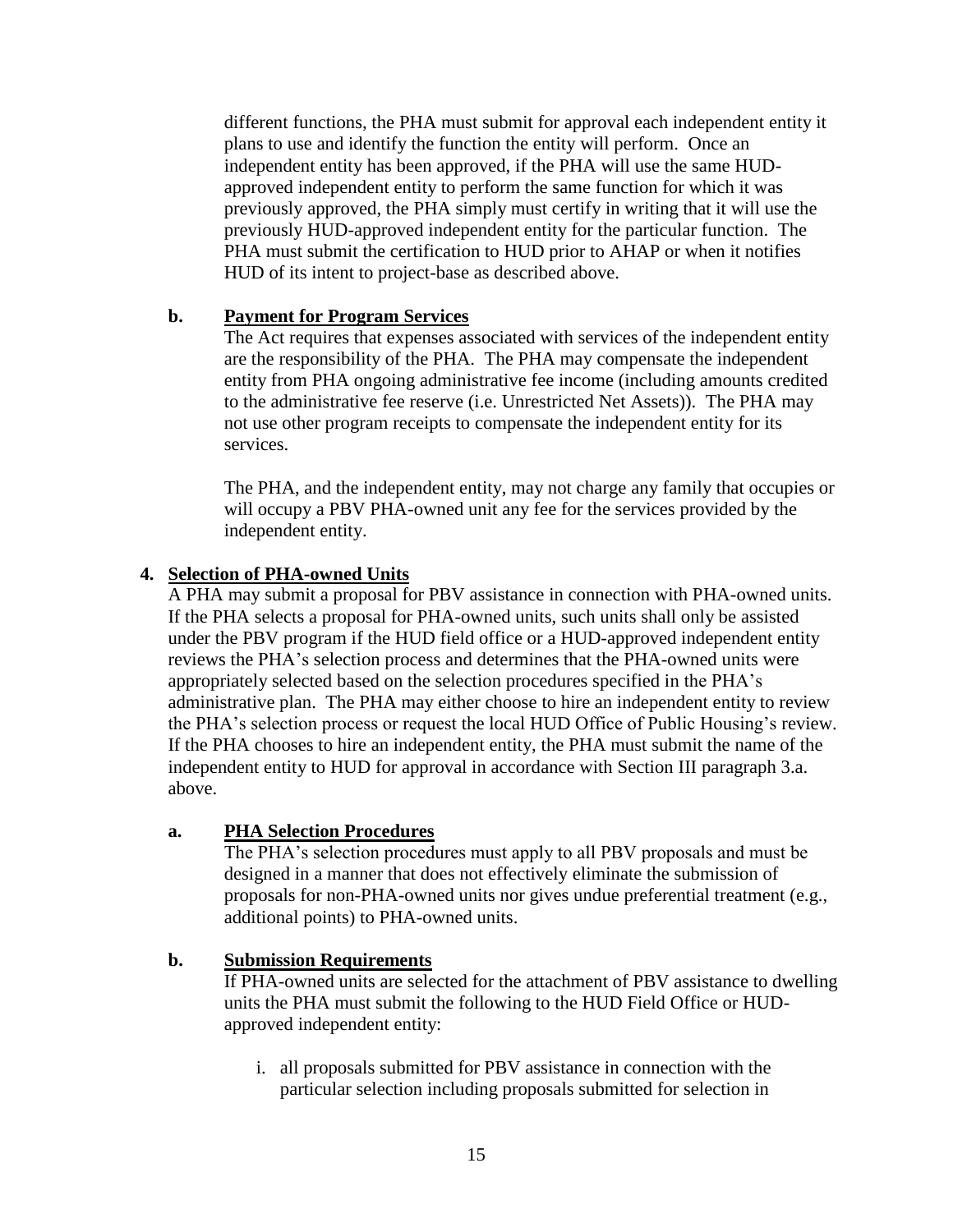different functions, the PHA must submit for approval each independent entity it plans to use and identify the function the entity will perform. Once an independent entity has been approved, if the PHA will use the same HUDapproved independent entity to perform the same function for which it was previously approved, the PHA simply must certify in writing that it will use the previously HUD-approved independent entity for the particular function. The PHA must submit the certification to HUD prior to AHAP or when it notifies HUD of its intent to project-base as described above.

#### **b. Payment for Program Services**

The Act requires that expenses associated with services of the independent entity are the responsibility of the PHA. The PHA may compensate the independent entity from PHA ongoing administrative fee income (including amounts credited to the administrative fee reserve (i.e. Unrestricted Net Assets)). The PHA may not use other program receipts to compensate the independent entity for its services.

The PHA, and the independent entity, may not charge any family that occupies or will occupy a PBV PHA-owned unit any fee for the services provided by the independent entity.

#### **4. Selection of PHA-owned Units**

A PHA may submit a proposal for PBV assistance in connection with PHA-owned units. If the PHA selects a proposal for PHA-owned units, such units shall only be assisted under the PBV program if the HUD field office or a HUD-approved independent entity reviews the PHA's selection process and determines that the PHA-owned units were appropriately selected based on the selection procedures specified in the PHA's administrative plan. The PHA may either choose to hire an independent entity to review the PHA's selection process or request the local HUD Office of Public Housing's review. If the PHA chooses to hire an independent entity, the PHA must submit the name of the independent entity to HUD for approval in accordance with Section III paragraph 3.a. above.

#### **a. PHA Selection Procedures**

The PHA's selection procedures must apply to all PBV proposals and must be designed in a manner that does not effectively eliminate the submission of proposals for non-PHA-owned units nor gives undue preferential treatment (e.g., additional points) to PHA-owned units.

#### **b. Submission Requirements**

If PHA-owned units are selected for the attachment of PBV assistance to dwelling units the PHA must submit the following to the HUD Field Office or HUDapproved independent entity:

i. all proposals submitted for PBV assistance in connection with the particular selection including proposals submitted for selection in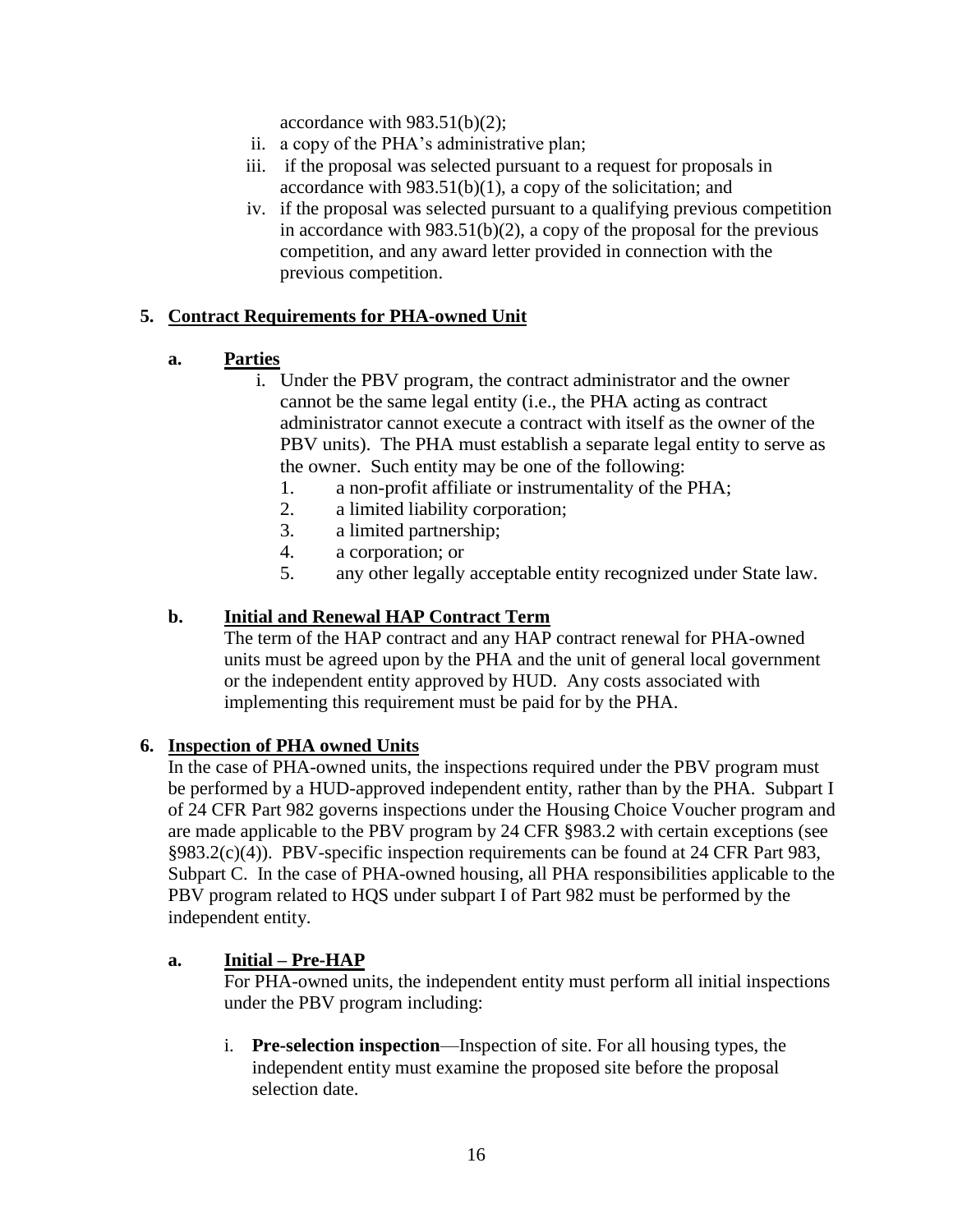accordance with  $983.51(b)(2)$ ;

- ii. a copy of the PHA's administrative plan;
- iii. if the proposal was selected pursuant to a request for proposals in accordance with  $983.51(b)(1)$ , a copy of the solicitation; and
- iv. if the proposal was selected pursuant to a qualifying previous competition in accordance with  $983.51(b)(2)$ , a copy of the proposal for the previous competition, and any award letter provided in connection with the previous competition.

## **5. Contract Requirements for PHA-owned Unit**

- **a. Parties**
	- i. Under the PBV program, the contract administrator and the owner cannot be the same legal entity (i.e., the PHA acting as contract administrator cannot execute a contract with itself as the owner of the PBV units). The PHA must establish a separate legal entity to serve as the owner. Such entity may be one of the following:
		- 1. a non-profit affiliate or instrumentality of the PHA;
		- 2. a limited liability corporation;
		- 3. a limited partnership;
		- 4. a corporation; or
		- 5. any other legally acceptable entity recognized under State law.

## **b. Initial and Renewal HAP Contract Term**

The term of the HAP contract and any HAP contract renewal for PHA-owned units must be agreed upon by the PHA and the unit of general local government or the independent entity approved by HUD. Any costs associated with implementing this requirement must be paid for by the PHA.

#### **6. Inspection of PHA owned Units**

In the case of PHA-owned units, the inspections required under the PBV program must be performed by a HUD-approved independent entity, rather than by the PHA. Subpart I of 24 CFR Part 982 governs inspections under the Housing Choice Voucher program and are made applicable to the PBV program by 24 CFR §983.2 with certain exceptions (see §983.2(c)(4)). PBV-specific inspection requirements can be found at 24 CFR Part 983, Subpart C. In the case of PHA-owned housing, all PHA responsibilities applicable to the PBV program related to HQS under subpart I of Part 982 must be performed by the independent entity.

#### **a. Initial – Pre-HAP**

For PHA-owned units, the independent entity must perform all initial inspections under the PBV program including:

i. **Pre-selection inspection**—Inspection of site. For all housing types, the independent entity must examine the proposed site before the proposal selection date.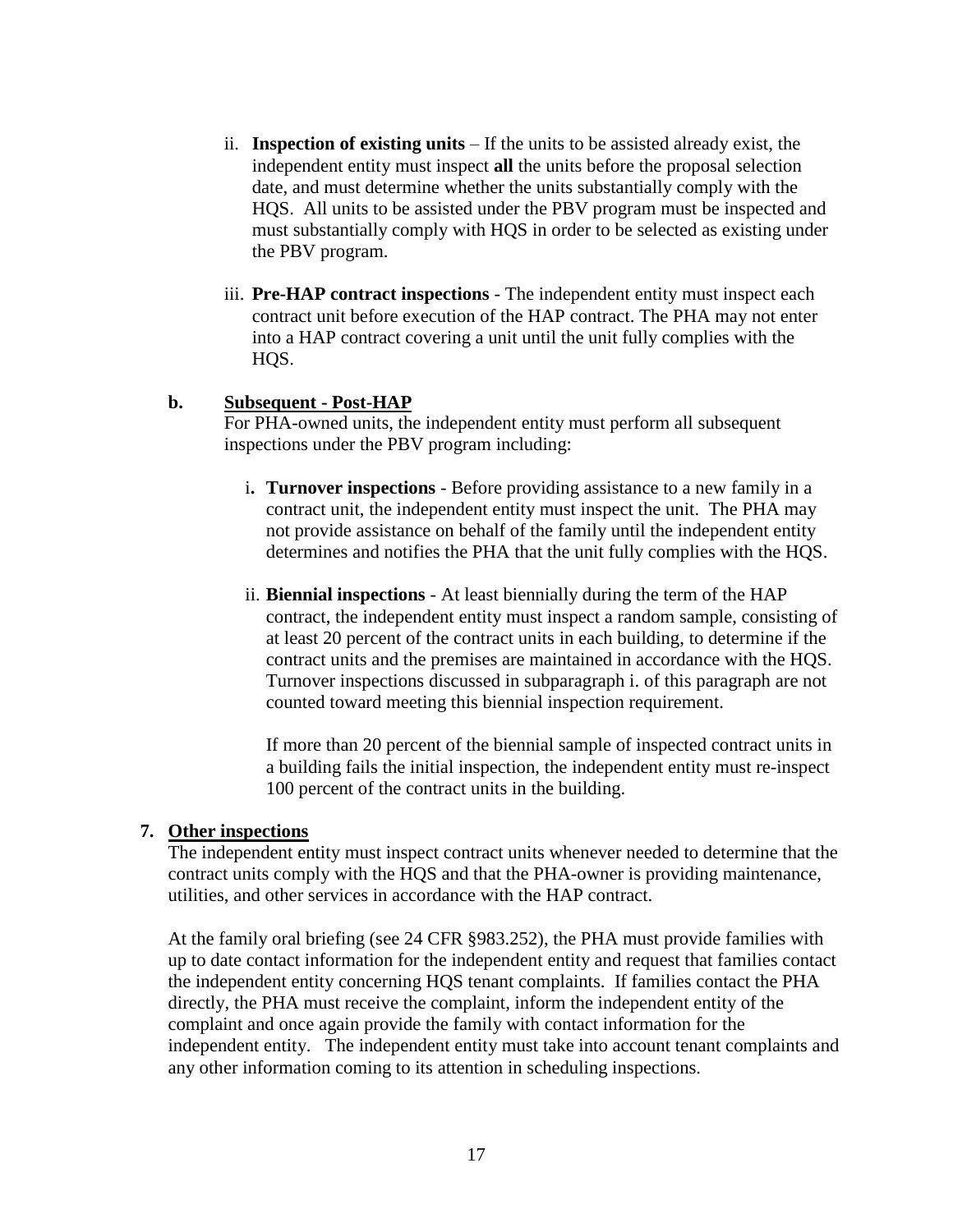- ii. **Inspection of existing units** If the units to be assisted already exist, the independent entity must inspect **all** the units before the proposal selection date, and must determine whether the units substantially comply with the HQS. All units to be assisted under the PBV program must be inspected and must substantially comply with HQS in order to be selected as existing under the PBV program.
- iii. **Pre-HAP contract inspections** The independent entity must inspect each contract unit before execution of the HAP contract. The PHA may not enter into a HAP contract covering a unit until the unit fully complies with the HQS.

#### **b. Subsequent - Post-HAP**

For PHA-owned units, the independent entity must perform all subsequent inspections under the PBV program including:

- i**. Turnover inspections** Before providing assistance to a new family in a contract unit, the independent entity must inspect the unit. The PHA may not provide assistance on behalf of the family until the independent entity determines and notifies the PHA that the unit fully complies with the HQS.
- ii. **Biennial inspections** At least biennially during the term of the HAP contract, the independent entity must inspect a random sample, consisting of at least 20 percent of the contract units in each building, to determine if the contract units and the premises are maintained in accordance with the HQS. Turnover inspections discussed in subparagraph i. of this paragraph are not counted toward meeting this biennial inspection requirement.

If more than 20 percent of the biennial sample of inspected contract units in a building fails the initial inspection, the independent entity must re-inspect 100 percent of the contract units in the building.

#### **7. Other inspections**

The independent entity must inspect contract units whenever needed to determine that the contract units comply with the HQS and that the PHA-owner is providing maintenance, utilities, and other services in accordance with the HAP contract.

At the family oral briefing (see 24 CFR §983.252), the PHA must provide families with up to date contact information for the independent entity and request that families contact the independent entity concerning HQS tenant complaints. If families contact the PHA directly, the PHA must receive the complaint, inform the independent entity of the complaint and once again provide the family with contact information for the independent entity. The independent entity must take into account tenant complaints and any other information coming to its attention in scheduling inspections.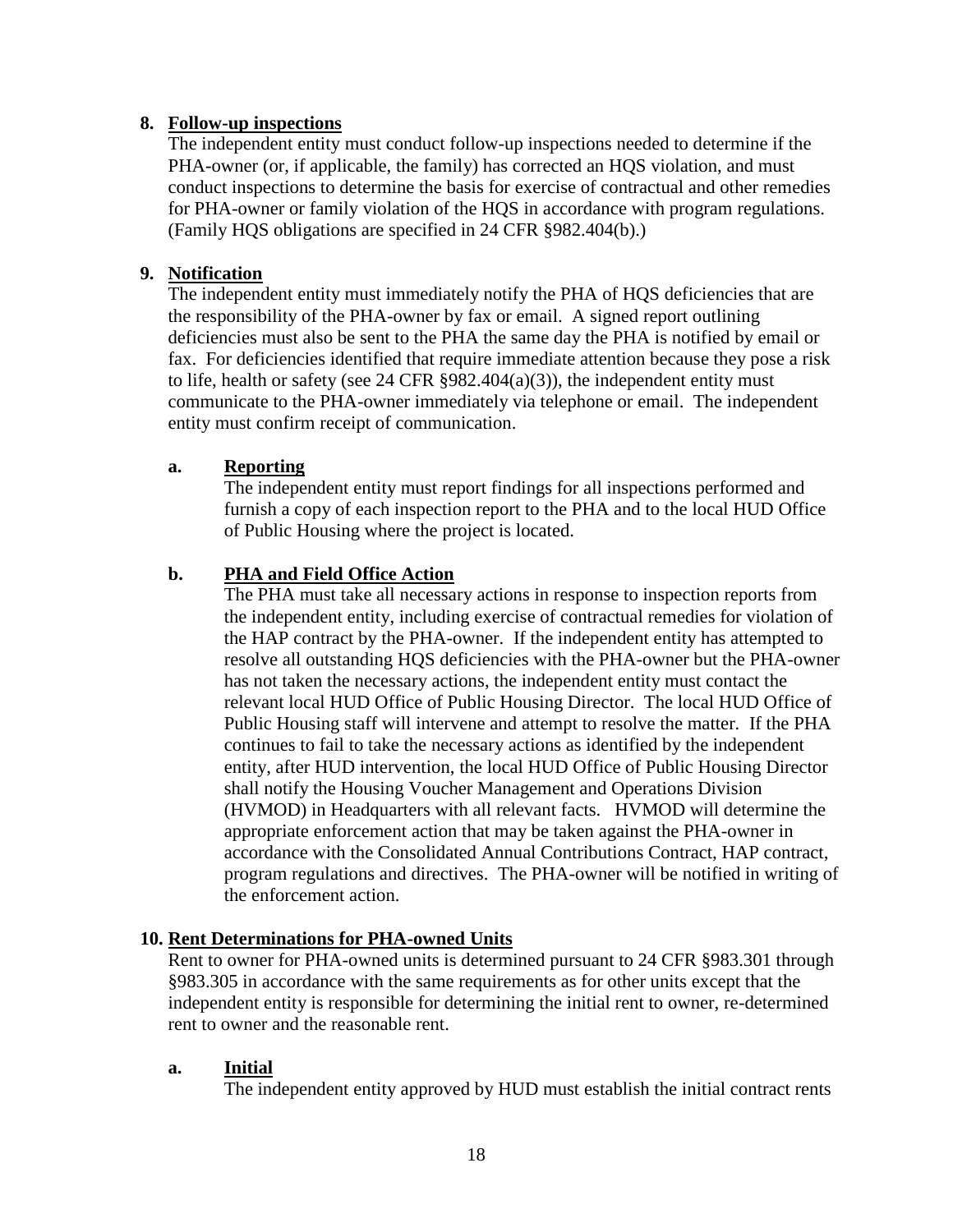#### **8. Follow-up inspections**

The independent entity must conduct follow-up inspections needed to determine if the PHA-owner (or, if applicable, the family) has corrected an HQS violation, and must conduct inspections to determine the basis for exercise of contractual and other remedies for PHA-owner or family violation of the HQS in accordance with program regulations. (Family HQS obligations are specified in 24 CFR §982.404(b).)

#### **9. Notification**

The independent entity must immediately notify the PHA of HQS deficiencies that are the responsibility of the PHA-owner by fax or email. A signed report outlining deficiencies must also be sent to the PHA the same day the PHA is notified by email or fax. For deficiencies identified that require immediate attention because they pose a risk to life, health or safety (see 24 CFR  $\S 982.404(a)(3)$ ), the independent entity must communicate to the PHA-owner immediately via telephone or email. The independent entity must confirm receipt of communication.

#### **a. Reporting**

The independent entity must report findings for all inspections performed and furnish a copy of each inspection report to the PHA and to the local HUD Office of Public Housing where the project is located.

## **b. PHA and Field Office Action**

The PHA must take all necessary actions in response to inspection reports from the independent entity, including exercise of contractual remedies for violation of the HAP contract by the PHA-owner. If the independent entity has attempted to resolve all outstanding HQS deficiencies with the PHA-owner but the PHA-owner has not taken the necessary actions, the independent entity must contact the relevant local HUD Office of Public Housing Director. The local HUD Office of Public Housing staff will intervene and attempt to resolve the matter. If the PHA continues to fail to take the necessary actions as identified by the independent entity, after HUD intervention, the local HUD Office of Public Housing Director shall notify the Housing Voucher Management and Operations Division (HVMOD) in Headquarters with all relevant facts. HVMOD will determine the appropriate enforcement action that may be taken against the PHA-owner in accordance with the Consolidated Annual Contributions Contract, HAP contract, program regulations and directives. The PHA-owner will be notified in writing of the enforcement action.

#### **10. Rent Determinations for PHA-owned Units**

Rent to owner for PHA-owned units is determined pursuant to 24 CFR §983.301 through §983.305 in accordance with the same requirements as for other units except that the independent entity is responsible for determining the initial rent to owner, re-determined rent to owner and the reasonable rent.

#### **a. Initial**

The independent entity approved by HUD must establish the initial contract rents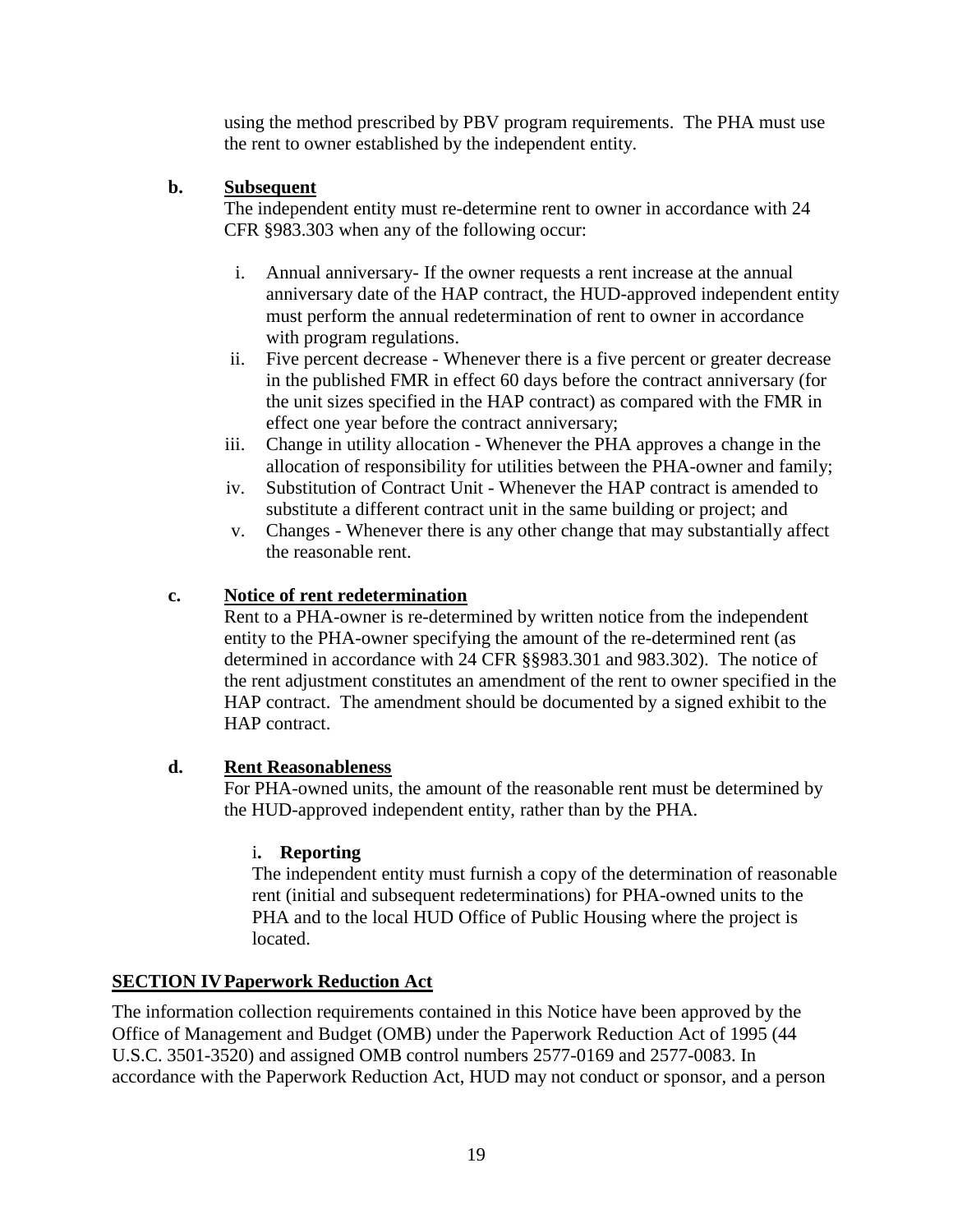using the method prescribed by PBV program requirements. The PHA must use the rent to owner established by the independent entity.

## **b. Subsequent**

The independent entity must re-determine rent to owner in accordance with 24 CFR §983.303 when any of the following occur:

- i. Annual anniversary- If the owner requests a rent increase at the annual anniversary date of the HAP contract, the HUD-approved independent entity must perform the annual redetermination of rent to owner in accordance with program regulations.
- ii. Five percent decrease Whenever there is a five percent or greater decrease in the published FMR in effect 60 days before the contract anniversary (for the unit sizes specified in the HAP contract) as compared with the FMR in effect one year before the contract anniversary;
- iii. Change in utility allocation Whenever the PHA approves a change in the allocation of responsibility for utilities between the PHA-owner and family;
- iv. Substitution of Contract Unit Whenever the HAP contract is amended to substitute a different contract unit in the same building or project; and
- v. Changes Whenever there is any other change that may substantially affect the reasonable rent.

## **c. Notice of rent redetermination**

Rent to a PHA-owner is re-determined by written notice from the independent entity to the PHA-owner specifying the amount of the re-determined rent (as determined in accordance with 24 CFR §§983.301 and 983.302). The notice of the rent adjustment constitutes an amendment of the rent to owner specified in the HAP contract. The amendment should be documented by a signed exhibit to the HAP contract.

## **d. Rent Reasonableness**

For PHA-owned units, the amount of the reasonable rent must be determined by the HUD-approved independent entity, rather than by the PHA.

## i**. Reporting**

The independent entity must furnish a copy of the determination of reasonable rent (initial and subsequent redeterminations) for PHA-owned units to the PHA and to the local HUD Office of Public Housing where the project is located.

## **SECTION IVPaperwork Reduction Act**

The information collection requirements contained in this Notice have been approved by the Office of Management and Budget (OMB) under the Paperwork Reduction Act of 1995 (44 U.S.C. 3501-3520) and assigned OMB control numbers 2577-0169 and 2577-0083. In accordance with the Paperwork Reduction Act, HUD may not conduct or sponsor, and a person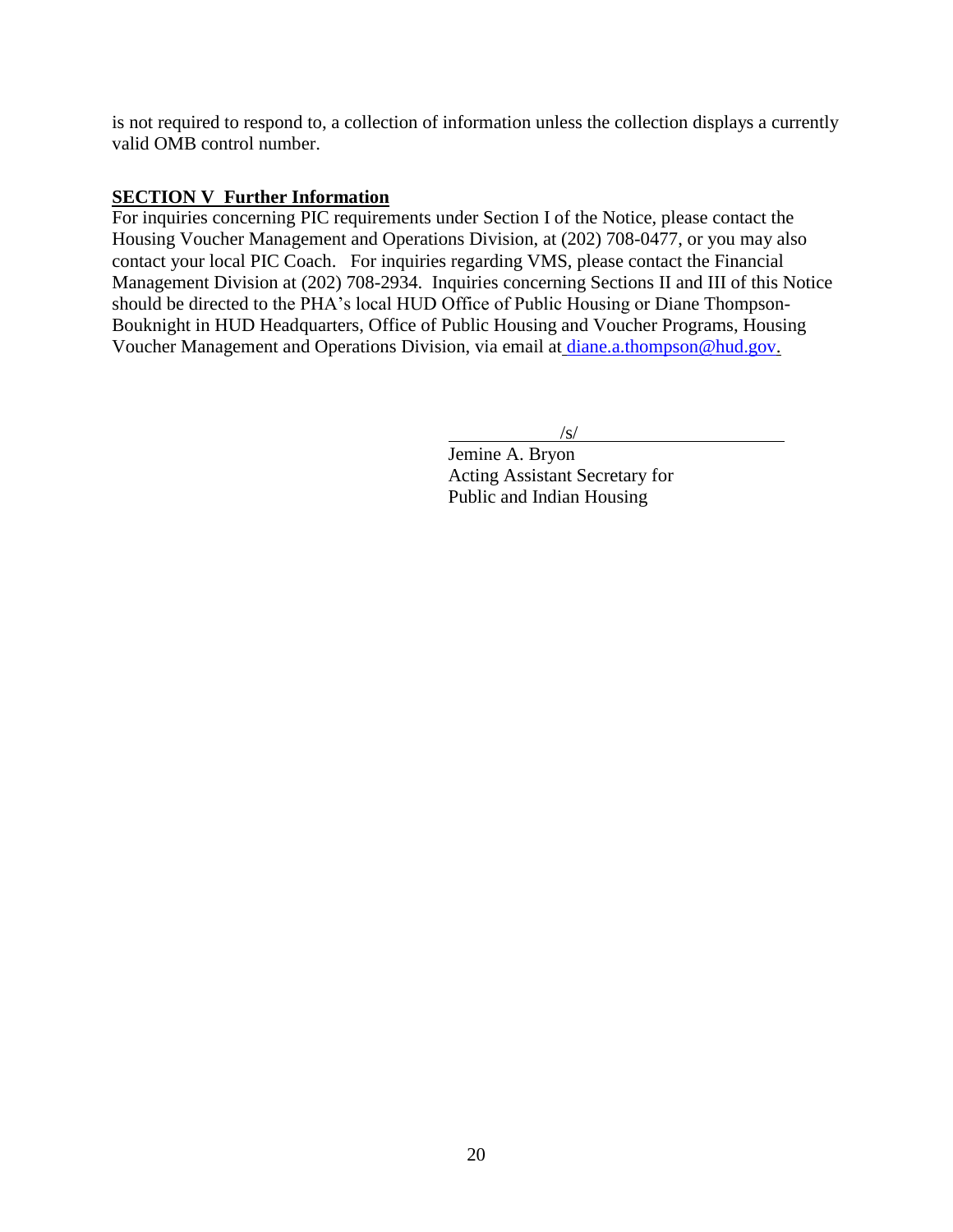is not required to respond to, a collection of information unless the collection displays a currently valid OMB control number.

## **SECTION V Further Information**

For inquiries concerning PIC requirements under Section I of the Notice, please contact the Housing Voucher Management and Operations Division, at (202) 708-0477, or you may also contact your local PIC Coach. For inquiries regarding VMS, please contact the Financial Management Division at (202) 708-2934. Inquiries concerning Sections II and III of this Notice should be directed to the PHA's local HUD Office of Public Housing or Diane Thompson-Bouknight in HUD Headquarters, Office of Public Housing and Voucher Programs, Housing Voucher Management and Operations Division, via email at [diane.a.thompson@hud.gov.](mailto:diane.a.thompson@hud.gov)

 $\sqrt{s/}$ 

 Jemine A. Bryon Acting Assistant Secretary for Public and Indian Housing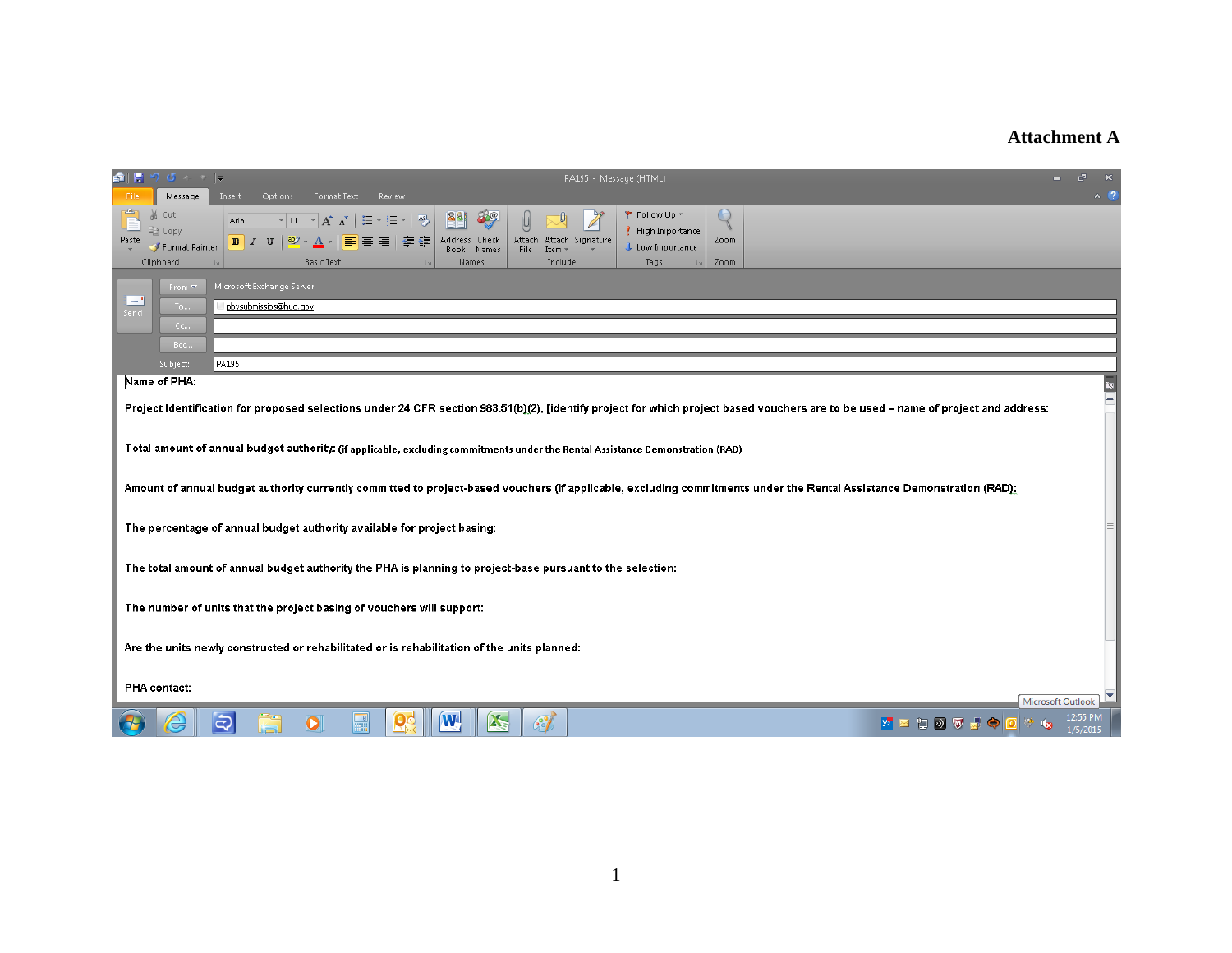## **Attachment A**

| 命に                                                                                                                                                                     | , ס יש 9                                        | PA195 - Message (HTML)                                                                                                                                                                                                                                                                                                                                                              | $\mathbf{r}$                  |  |
|------------------------------------------------------------------------------------------------------------------------------------------------------------------------|-------------------------------------------------|-------------------------------------------------------------------------------------------------------------------------------------------------------------------------------------------------------------------------------------------------------------------------------------------------------------------------------------------------------------------------------------|-------------------------------|--|
| File                                                                                                                                                                   | Message                                         | Insert<br>Options<br>Format Text<br>Review                                                                                                                                                                                                                                                                                                                                          | $\sim$ $\alpha$               |  |
| ≘<br>Paste                                                                                                                                                             | & Cut<br>≝∄ Copy<br>Format Painter<br>Clipboard | ₹ Follow Up *<br>89<br>$\circ$<br>881<br>▼ 11 - A´ A゙ │ 三 - 三 - │ 學<br>Arial<br>High Importance<br>Address Check<br>Attach Signature<br>Zoom<br>$B$ $I$ $U$ $\frac{ab}{c}$ $\rightarrow$<br>≣<br>医性<br>٤E<br>Attach<br>$A$ $\cdot$<br><b>Low Importance</b><br>File<br><b>Book</b><br><b>Names</b><br>Item.<br><b>Basic Text</b><br>Names<br>Include<br>Zoom<br>Tags<br><b>Ext.</b> |                               |  |
|                                                                                                                                                                        | From $\overline{\mathbf{v}}$                    | Microsoft Exchange Server                                                                                                                                                                                                                                                                                                                                                           |                               |  |
| $=$                                                                                                                                                                    | To                                              | pbysubmissios@hud.gov                                                                                                                                                                                                                                                                                                                                                               |                               |  |
| Send                                                                                                                                                                   | Cc                                              |                                                                                                                                                                                                                                                                                                                                                                                     |                               |  |
|                                                                                                                                                                        | Bcc.,                                           |                                                                                                                                                                                                                                                                                                                                                                                     |                               |  |
|                                                                                                                                                                        | Subject:                                        | PA195                                                                                                                                                                                                                                                                                                                                                                               |                               |  |
|                                                                                                                                                                        | Name of PHA:                                    |                                                                                                                                                                                                                                                                                                                                                                                     | 粵                             |  |
|                                                                                                                                                                        |                                                 | Project Identification for proposed selections under 24 CFR section 983.51(b)(2), [identify project for which project based vouchers are to be used – name of project and address:                                                                                                                                                                                                  | l a                           |  |
|                                                                                                                                                                        |                                                 |                                                                                                                                                                                                                                                                                                                                                                                     |                               |  |
|                                                                                                                                                                        |                                                 | Total amount of annual budget authority: (if applicable, excluding commitments under the Rental Assistance Demonstration (RAD)                                                                                                                                                                                                                                                      |                               |  |
|                                                                                                                                                                        |                                                 |                                                                                                                                                                                                                                                                                                                                                                                     |                               |  |
| Amount of annual budget authority currently committed to project-based vouchers (if applicable, excluding commitments under the Rental Assistance Demonstration (RAD); |                                                 |                                                                                                                                                                                                                                                                                                                                                                                     |                               |  |
|                                                                                                                                                                        |                                                 |                                                                                                                                                                                                                                                                                                                                                                                     |                               |  |
| The percentage of annual budget authority available for project basing:                                                                                                |                                                 |                                                                                                                                                                                                                                                                                                                                                                                     |                               |  |
|                                                                                                                                                                        |                                                 |                                                                                                                                                                                                                                                                                                                                                                                     |                               |  |
| The total amount of annual budget authority the PHA is planning to project-base pursuant to the selection:                                                             |                                                 |                                                                                                                                                                                                                                                                                                                                                                                     |                               |  |
|                                                                                                                                                                        |                                                 |                                                                                                                                                                                                                                                                                                                                                                                     |                               |  |
| The number of units that the project basing of vouchers will support:                                                                                                  |                                                 |                                                                                                                                                                                                                                                                                                                                                                                     |                               |  |
|                                                                                                                                                                        |                                                 |                                                                                                                                                                                                                                                                                                                                                                                     |                               |  |
|                                                                                                                                                                        |                                                 | Are the units newly constructed or rehabilitated or is rehabilitation of the units planned:                                                                                                                                                                                                                                                                                         |                               |  |
|                                                                                                                                                                        | PHA contact:                                    |                                                                                                                                                                                                                                                                                                                                                                                     |                               |  |
|                                                                                                                                                                        |                                                 |                                                                                                                                                                                                                                                                                                                                                                                     | Microsoft Outlook             |  |
|                                                                                                                                                                        |                                                 | $\overline{\mathbf{W}}$<br><b>K</b><br>ミ<br>H<br>$\mathcal{E}$<br>$\overline{\mathbf{o}}$<br>Q                                                                                                                                                                                                                                                                                      | <b>KADOVJOO</b> V<br>1/5/2015 |  |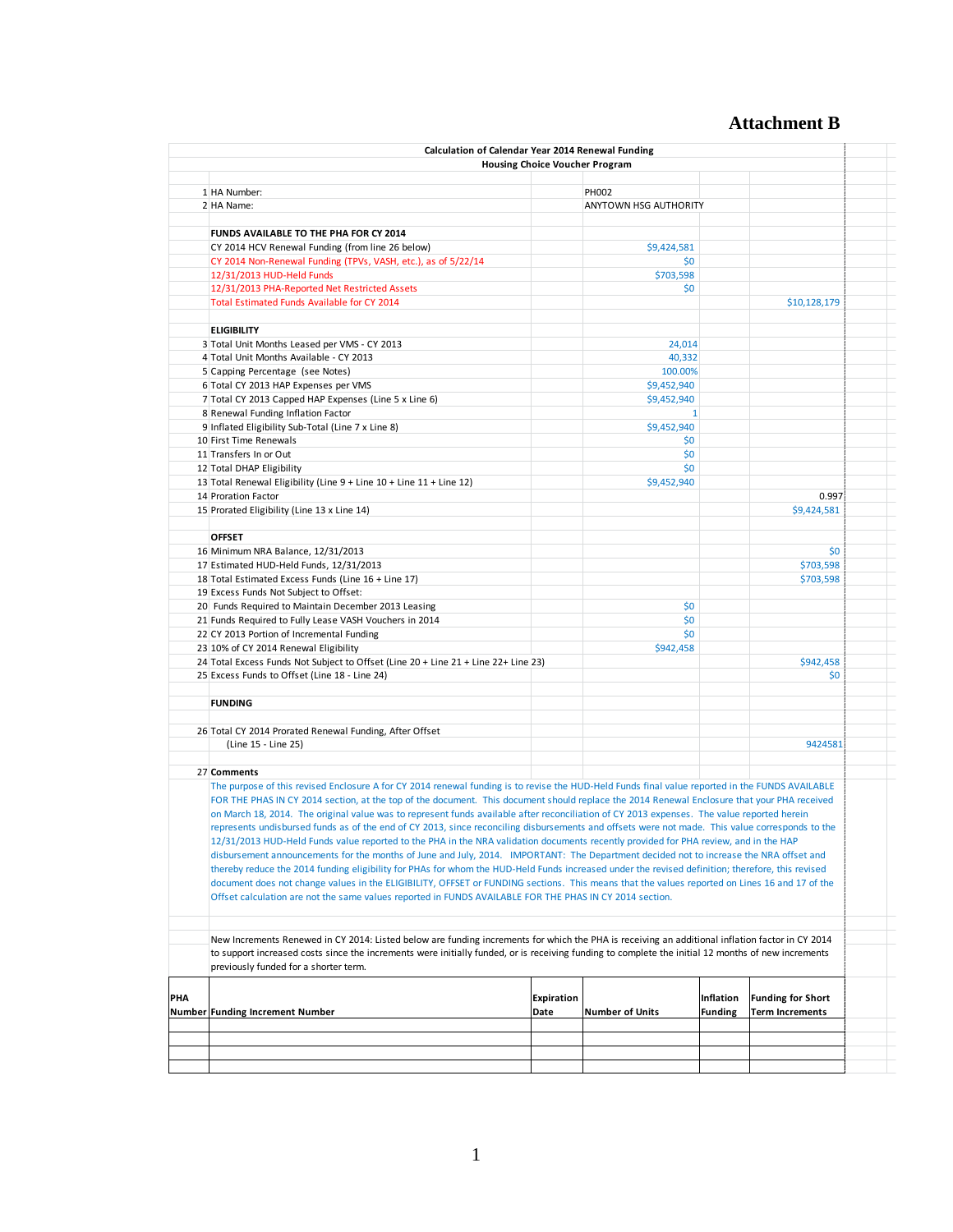# **Attachment B**

|     | Calculation of Calendar Year 2014 Renewal Funding                                                                                                                                                                                                                                                                                                                                                                                                                                                                                                                                                                                                                                                                                                                                                                                                                                                                                                                                                                                     |                           | <b>Housing Choice Voucher Program</b> |                             |                                                    |  |
|-----|---------------------------------------------------------------------------------------------------------------------------------------------------------------------------------------------------------------------------------------------------------------------------------------------------------------------------------------------------------------------------------------------------------------------------------------------------------------------------------------------------------------------------------------------------------------------------------------------------------------------------------------------------------------------------------------------------------------------------------------------------------------------------------------------------------------------------------------------------------------------------------------------------------------------------------------------------------------------------------------------------------------------------------------|---------------------------|---------------------------------------|-----------------------------|----------------------------------------------------|--|
|     |                                                                                                                                                                                                                                                                                                                                                                                                                                                                                                                                                                                                                                                                                                                                                                                                                                                                                                                                                                                                                                       |                           |                                       |                             |                                                    |  |
|     | 1 HA Number:                                                                                                                                                                                                                                                                                                                                                                                                                                                                                                                                                                                                                                                                                                                                                                                                                                                                                                                                                                                                                          |                           | PH002                                 |                             |                                                    |  |
|     | 2 HA Name:                                                                                                                                                                                                                                                                                                                                                                                                                                                                                                                                                                                                                                                                                                                                                                                                                                                                                                                                                                                                                            |                           | ANYTOWN HSG AUTHORITY                 |                             |                                                    |  |
|     | FUNDS AVAILABLE TO THE PHA FOR CY 2014                                                                                                                                                                                                                                                                                                                                                                                                                                                                                                                                                                                                                                                                                                                                                                                                                                                                                                                                                                                                |                           |                                       |                             |                                                    |  |
|     | CY 2014 HCV Renewal Funding (from line 26 below)                                                                                                                                                                                                                                                                                                                                                                                                                                                                                                                                                                                                                                                                                                                                                                                                                                                                                                                                                                                      |                           | \$9,424,581                           |                             |                                                    |  |
|     | CY 2014 Non-Renewal Funding (TPVs, VASH, etc.), as of 5/22/14                                                                                                                                                                                                                                                                                                                                                                                                                                                                                                                                                                                                                                                                                                                                                                                                                                                                                                                                                                         |                           | \$0                                   |                             |                                                    |  |
|     | 12/31/2013 HUD-Held Funds                                                                                                                                                                                                                                                                                                                                                                                                                                                                                                                                                                                                                                                                                                                                                                                                                                                                                                                                                                                                             |                           | \$703,598                             |                             |                                                    |  |
|     | 12/31/2013 PHA-Reported Net Restricted Assets                                                                                                                                                                                                                                                                                                                                                                                                                                                                                                                                                                                                                                                                                                                                                                                                                                                                                                                                                                                         |                           | \$0                                   |                             |                                                    |  |
|     | Total Estimated Funds Available for CY 2014                                                                                                                                                                                                                                                                                                                                                                                                                                                                                                                                                                                                                                                                                                                                                                                                                                                                                                                                                                                           |                           |                                       |                             | \$10,128,179                                       |  |
|     |                                                                                                                                                                                                                                                                                                                                                                                                                                                                                                                                                                                                                                                                                                                                                                                                                                                                                                                                                                                                                                       |                           |                                       |                             |                                                    |  |
|     | <b>ELIGIBILITY</b>                                                                                                                                                                                                                                                                                                                                                                                                                                                                                                                                                                                                                                                                                                                                                                                                                                                                                                                                                                                                                    |                           |                                       |                             |                                                    |  |
|     | 3 Total Unit Months Leased per VMS - CY 2013                                                                                                                                                                                                                                                                                                                                                                                                                                                                                                                                                                                                                                                                                                                                                                                                                                                                                                                                                                                          |                           | 24,014                                |                             |                                                    |  |
|     | 4 Total Unit Months Available - CY 2013                                                                                                                                                                                                                                                                                                                                                                                                                                                                                                                                                                                                                                                                                                                                                                                                                                                                                                                                                                                               |                           | 40,332                                |                             |                                                    |  |
|     | 5 Capping Percentage (see Notes)                                                                                                                                                                                                                                                                                                                                                                                                                                                                                                                                                                                                                                                                                                                                                                                                                                                                                                                                                                                                      |                           | 100.00%                               |                             |                                                    |  |
|     | 6 Total CY 2013 HAP Expenses per VMS                                                                                                                                                                                                                                                                                                                                                                                                                                                                                                                                                                                                                                                                                                                                                                                                                                                                                                                                                                                                  |                           | \$9,452,940                           |                             |                                                    |  |
|     | 7 Total CY 2013 Capped HAP Expenses (Line 5 x Line 6)                                                                                                                                                                                                                                                                                                                                                                                                                                                                                                                                                                                                                                                                                                                                                                                                                                                                                                                                                                                 |                           | \$9,452,940                           |                             |                                                    |  |
|     | 8 Renewal Funding Inflation Factor                                                                                                                                                                                                                                                                                                                                                                                                                                                                                                                                                                                                                                                                                                                                                                                                                                                                                                                                                                                                    |                           | $\mathbf{1}$                          |                             |                                                    |  |
|     | 9 Inflated Eligibility Sub-Total (Line 7 x Line 8)                                                                                                                                                                                                                                                                                                                                                                                                                                                                                                                                                                                                                                                                                                                                                                                                                                                                                                                                                                                    |                           | \$9,452,940                           |                             |                                                    |  |
|     | 10 First Time Renewals                                                                                                                                                                                                                                                                                                                                                                                                                                                                                                                                                                                                                                                                                                                                                                                                                                                                                                                                                                                                                |                           | \$0                                   |                             |                                                    |  |
|     | 11 Transfers In or Out                                                                                                                                                                                                                                                                                                                                                                                                                                                                                                                                                                                                                                                                                                                                                                                                                                                                                                                                                                                                                |                           | \$0                                   |                             |                                                    |  |
|     | 12 Total DHAP Eligibility                                                                                                                                                                                                                                                                                                                                                                                                                                                                                                                                                                                                                                                                                                                                                                                                                                                                                                                                                                                                             |                           | \$0                                   |                             |                                                    |  |
|     | 13 Total Renewal Eligibility (Line 9 + Line 10 + Line 11 + Line 12)                                                                                                                                                                                                                                                                                                                                                                                                                                                                                                                                                                                                                                                                                                                                                                                                                                                                                                                                                                   |                           | \$9,452,940                           |                             |                                                    |  |
|     | 14 Proration Factor                                                                                                                                                                                                                                                                                                                                                                                                                                                                                                                                                                                                                                                                                                                                                                                                                                                                                                                                                                                                                   |                           |                                       |                             | 0.997                                              |  |
|     | 15 Prorated Eligibility (Line 13 x Line 14)                                                                                                                                                                                                                                                                                                                                                                                                                                                                                                                                                                                                                                                                                                                                                                                                                                                                                                                                                                                           |                           |                                       |                             | \$9,424,581                                        |  |
|     | <b>OFFSET</b>                                                                                                                                                                                                                                                                                                                                                                                                                                                                                                                                                                                                                                                                                                                                                                                                                                                                                                                                                                                                                         |                           |                                       |                             |                                                    |  |
|     | 16 Minimum NRA Balance, 12/31/2013                                                                                                                                                                                                                                                                                                                                                                                                                                                                                                                                                                                                                                                                                                                                                                                                                                                                                                                                                                                                    |                           |                                       |                             | \$0                                                |  |
|     | 17 Estimated HUD-Held Funds, 12/31/2013                                                                                                                                                                                                                                                                                                                                                                                                                                                                                                                                                                                                                                                                                                                                                                                                                                                                                                                                                                                               |                           |                                       |                             | \$703,598                                          |  |
|     | 18 Total Estimated Excess Funds (Line 16 + Line 17)                                                                                                                                                                                                                                                                                                                                                                                                                                                                                                                                                                                                                                                                                                                                                                                                                                                                                                                                                                                   |                           |                                       |                             | \$703,598                                          |  |
|     | 19 Excess Funds Not Subject to Offset:                                                                                                                                                                                                                                                                                                                                                                                                                                                                                                                                                                                                                                                                                                                                                                                                                                                                                                                                                                                                |                           |                                       |                             |                                                    |  |
|     | 20 Funds Required to Maintain December 2013 Leasing                                                                                                                                                                                                                                                                                                                                                                                                                                                                                                                                                                                                                                                                                                                                                                                                                                                                                                                                                                                   |                           | \$0                                   |                             |                                                    |  |
|     | 21 Funds Required to Fully Lease VASH Vouchers in 2014                                                                                                                                                                                                                                                                                                                                                                                                                                                                                                                                                                                                                                                                                                                                                                                                                                                                                                                                                                                |                           | \$0                                   |                             |                                                    |  |
|     | 22 CY 2013 Portion of Incremental Funding                                                                                                                                                                                                                                                                                                                                                                                                                                                                                                                                                                                                                                                                                                                                                                                                                                                                                                                                                                                             |                           | \$0                                   |                             |                                                    |  |
|     | 23 10% of CY 2014 Renewal Eligibility                                                                                                                                                                                                                                                                                                                                                                                                                                                                                                                                                                                                                                                                                                                                                                                                                                                                                                                                                                                                 |                           | \$942,458                             |                             |                                                    |  |
|     | 24 Total Excess Funds Not Subject to Offset (Line 20 + Line 21 + Line 22+ Line 23)                                                                                                                                                                                                                                                                                                                                                                                                                                                                                                                                                                                                                                                                                                                                                                                                                                                                                                                                                    |                           |                                       |                             | \$942,458                                          |  |
|     | 25 Excess Funds to Offset (Line 18 - Line 24)                                                                                                                                                                                                                                                                                                                                                                                                                                                                                                                                                                                                                                                                                                                                                                                                                                                                                                                                                                                         |                           |                                       |                             | \$0                                                |  |
|     |                                                                                                                                                                                                                                                                                                                                                                                                                                                                                                                                                                                                                                                                                                                                                                                                                                                                                                                                                                                                                                       |                           |                                       |                             |                                                    |  |
|     | <b>FUNDING</b>                                                                                                                                                                                                                                                                                                                                                                                                                                                                                                                                                                                                                                                                                                                                                                                                                                                                                                                                                                                                                        |                           |                                       |                             |                                                    |  |
|     |                                                                                                                                                                                                                                                                                                                                                                                                                                                                                                                                                                                                                                                                                                                                                                                                                                                                                                                                                                                                                                       |                           |                                       |                             |                                                    |  |
|     | 26 Total CY 2014 Prorated Renewal Funding, After Offset                                                                                                                                                                                                                                                                                                                                                                                                                                                                                                                                                                                                                                                                                                                                                                                                                                                                                                                                                                               |                           |                                       |                             |                                                    |  |
|     | (Line 15 - Line 25)                                                                                                                                                                                                                                                                                                                                                                                                                                                                                                                                                                                                                                                                                                                                                                                                                                                                                                                                                                                                                   |                           |                                       |                             | 9424581                                            |  |
|     | 27 Comments                                                                                                                                                                                                                                                                                                                                                                                                                                                                                                                                                                                                                                                                                                                                                                                                                                                                                                                                                                                                                           |                           |                                       |                             |                                                    |  |
|     | The purpose of this revised Enclosure A for CY 2014 renewal funding is to revise the HUD-Held Funds final value reported in the FUNDS AVAILABLE<br>FOR THE PHAS IN CY 2014 section, at the top of the document. This document should replace the 2014 Renewal Enclosure that your PHA received<br>on March 18, 2014. The original value was to represent funds available after reconciliation of CY 2013 expenses. The value reported herein<br>represents undisbursed funds as of the end of CY 2013, since reconciling disbursements and offsets were not made. This value corresponds to the<br>12/31/2013 HUD-Held Funds value reported to the PHA in the NRA validation documents recently provided for PHA review, and in the HAP<br>disbursement announcements for the months of June and July, 2014. IMPORTANT: The Department decided not to increase the NRA offset and<br>thereby reduce the 2014 funding eligibility for PHAs for whom the HUD-Held Funds increased under the revised definition; therefore, this revised |                           |                                       |                             |                                                    |  |
|     | document does not change values in the ELIGIBILITY, OFFSET or FUNDING sections. This means that the values reported on Lines 16 and 17 of the<br>Offset calculation are not the same values reported in FUNDS AVAILABLE FOR THE PHAS IN CY 2014 section.                                                                                                                                                                                                                                                                                                                                                                                                                                                                                                                                                                                                                                                                                                                                                                              |                           |                                       |                             |                                                    |  |
|     | New Increments Renewed in CY 2014: Listed below are funding increments for which the PHA is receiving an additional inflation factor in CY 2014                                                                                                                                                                                                                                                                                                                                                                                                                                                                                                                                                                                                                                                                                                                                                                                                                                                                                       |                           |                                       |                             |                                                    |  |
|     | to support increased costs since the increments were initially funded, or is receiving funding to complete the initial 12 months of new increments<br>previously funded for a shorter term.                                                                                                                                                                                                                                                                                                                                                                                                                                                                                                                                                                                                                                                                                                                                                                                                                                           |                           |                                       |                             |                                                    |  |
| PHA | <b>Number Funding Increment Number</b>                                                                                                                                                                                                                                                                                                                                                                                                                                                                                                                                                                                                                                                                                                                                                                                                                                                                                                                                                                                                | <b>Expiration</b><br>Date | <b>Number of Units</b>                | Inflation<br><b>Funding</b> | <b>Funding for Short</b><br><b>Term Increments</b> |  |
|     |                                                                                                                                                                                                                                                                                                                                                                                                                                                                                                                                                                                                                                                                                                                                                                                                                                                                                                                                                                                                                                       |                           |                                       |                             |                                                    |  |
|     |                                                                                                                                                                                                                                                                                                                                                                                                                                                                                                                                                                                                                                                                                                                                                                                                                                                                                                                                                                                                                                       |                           |                                       |                             |                                                    |  |
|     |                                                                                                                                                                                                                                                                                                                                                                                                                                                                                                                                                                                                                                                                                                                                                                                                                                                                                                                                                                                                                                       |                           |                                       |                             |                                                    |  |
|     |                                                                                                                                                                                                                                                                                                                                                                                                                                                                                                                                                                                                                                                                                                                                                                                                                                                                                                                                                                                                                                       |                           |                                       |                             |                                                    |  |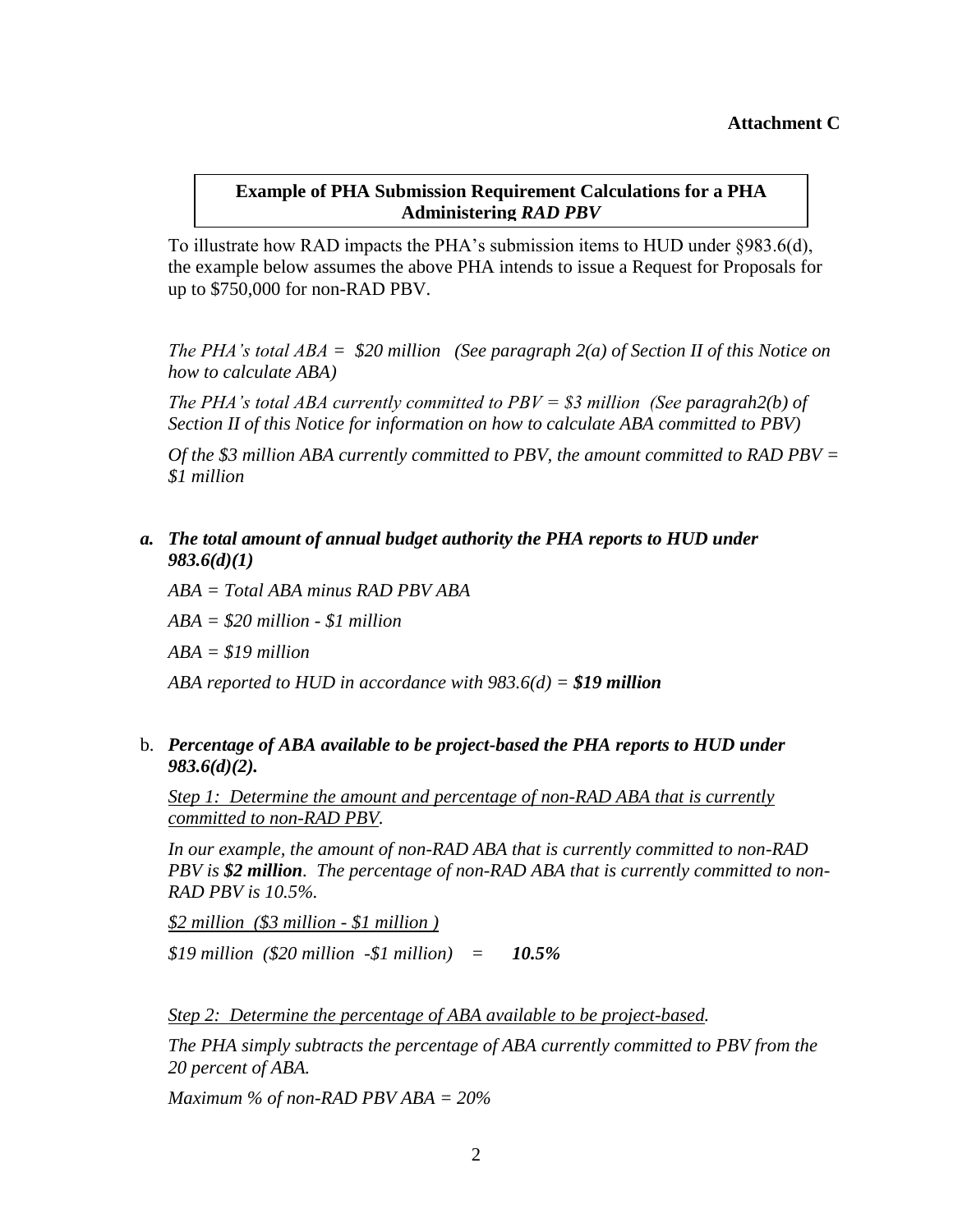#### **Example of PHA Submission Requirement Calculations for a PHA Administering** *RAD PBV*

To illustrate how RAD impacts the PHA's submission items to HUD under §983.6(d), the example below assumes the above PHA intends to issue a Request for Proposals for up to \$750,000 for non-RAD PBV.

*The PHA's total ABA = \$20 million (See paragraph 2(a) of Section II of this Notice on how to calculate ABA)*

*The PHA's total ABA currently committed to PBV = \$3 million (See paragrah2(b) of Section II of this Notice for information on how to calculate ABA committed to PBV)* 

*Of the \$3 million ABA currently committed to PBV, the amount committed to RAD PBV = \$1 million*

#### *a. The total amount of annual budget authority the PHA reports to HUD under 983.6(d)(1)*

*ABA = Total ABA minus RAD PBV ABA ABA = \$20 million - \$1 million ABA = \$19 million*

*ABA reported to HUD in accordance with 983.6(d) = \$19 million*

#### b. *Percentage of ABA available to be project-based the PHA reports to HUD under 983.6(d)(2).*

*Step 1: Determine the amount and percentage of non-RAD ABA that is currently committed to non-RAD PBV.*

*In our example, the amount of non-RAD ABA that is currently committed to non-RAD PBV is \$2 million. The percentage of non-RAD ABA that is currently committed to non-RAD PBV is 10.5%.*

*\$2 million (\$3 million - \$1 million )*

*\$19 million (\$20 million -\$1 million) = 10.5%*

*Step 2: Determine the percentage of ABA available to be project-based.* 

*The PHA simply subtracts the percentage of ABA currently committed to PBV from the 20 percent of ABA.*

*Maximum % of non-RAD PBV ABA = 20%*